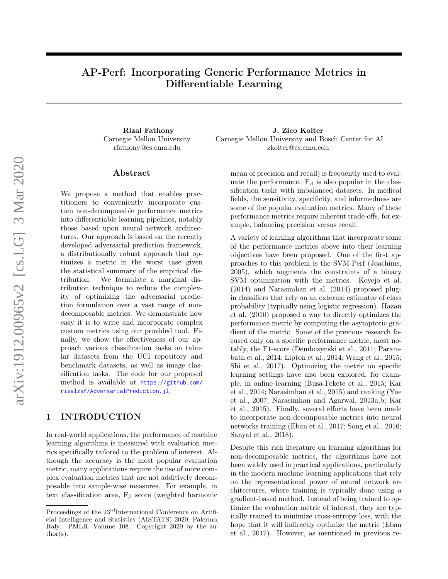# AP-Perf: Incorporating Generic Performance Metrics in Differentiable Learning

Carnegie Mellon University rfathony@cs.cmu.edu

## ${\rm Abstract}$

We propose a method that enables practitioners to conveniently incorporate custom non-decomposable performance metrics into differentiable learning pipelines, notably those based upon neural network architectures. Our approach is based on the recently developed adversarial prediction framework, a distributionally robust approach that optimizes a metric in the worst case given the statistical summary of the empirical distribution. We formulate a marginal distribution technique to reduce the complexity of optimizing the adversarial prediction formulation over a vast range of nondecomposable metrics. We demonstrate how easy it is to write and incorporate complex custom metrics using our provided tool. Finally, we show the effectiveness of our approach various classification tasks on tabular datasets from the UCI repository and benchmark datasets, as well as image classification tasks. The code for our proposed method is available at [https://github.com/](https://github.com/rizalzaf/AdversarialPrediction.jl) [rizalzaf/AdversarialPrediction.jl](https://github.com/rizalzaf/AdversarialPrediction.jl).

# 1 INTRODUCTION

In real-world applications, the performance of machine learning algorithms is measured with evaluation metrics specifically tailored to the problem of interest. Although the accuracy is the most popular evaluation metric, many applications require the use of more complex evaluation metrics that are not additively decomposable into sample-wise measures. For example, in text classification area,  $F_\beta$  score (weighted harmonic

Rizal Fathony J. Zico Kolter Carnegie Mellon University and Bosch Center for AI zkolter@cs.cmu.edu

> mean of precision and recall) is frequently used to evaluate the performance.  $F_\beta$  is also popular in the classification tasks with imbalanced datasets. In medical fields, the sensitivity, specificity, and informedness are some of the popular evaluation metrics. Many of these performance metrics require inherent trade-offs, for example, balancing precision versus recall.

> A variety of learning algorithms that incorporate some of the performance metrics above into their learning objectives have been proposed. One of the first approaches to this problem is the SVM-Perf [\(Joachims,](#page-8-0) [2005\)](#page-8-0), which augments the constraints of a binary SVM optimization with the metrics. [Koyejo et al.](#page-8-1) [\(2014\)](#page-8-1) and [Narasimhan et al.](#page-9-0) [\(2014\)](#page-9-0) proposed plugin classifiers that rely on an external estimator of class probability (typically using logistic regression). [Hazan](#page-8-2) [et al.](#page-8-2) [\(2010\)](#page-8-2) proposed a way to directly optimizes the performance metric by computing the asymptotic gradient of the metric. Some of the previous research focused only on a specific performance metric, most notably, the F1-score [\(Dembczynski et al.,](#page-8-3) [2011;](#page-8-3) [Param](#page-9-1)[bath et al.,](#page-9-1) [2014;](#page-9-1) [Lipton et al.,](#page-9-2) [2014;](#page-9-2) [Wang et al.,](#page-9-3) [2015;](#page-9-3) [Shi et al.,](#page-9-4) [2017\)](#page-9-4). Optimizing the metric on specific learning settings have also been explored, for example, in online learning [\(Busa-Fekete et al.,](#page-8-4) [2015;](#page-8-4) [Kar](#page-8-5) [et al.,](#page-8-5) [2014;](#page-8-5) [Narasimhan et al.,](#page-9-5) [2015\)](#page-9-5) and ranking [\(Yue](#page-9-6) [et al.,](#page-9-6) [2007;](#page-9-6) [Narasimhan and Agarwal,](#page-9-7) [2013a,](#page-9-7)[b;](#page-9-8) [Kar](#page-8-6) [et al.,](#page-8-6) [2015\)](#page-8-6). Finally, several efforts have been made to incorporate non-decomposable metrics into neural networks training [\(Eban et al.,](#page-8-7) [2017;](#page-8-7) [Song et al.,](#page-9-9) [2016;](#page-9-9) [Sanyal et al.,](#page-9-10) [2018\)](#page-9-10).

> Despite this rich literature on learning algorithms for non-decomposable metrics, the algorithms have not been widely used in practical applications, particularly in the modern machine learning applications that rely on the representational power of neural network architectures, where training is typically done using a gradient-based method. Instead of being trained to optimize the evaluation metric of interest, they are typically trained to minimize cross-entropy loss, with the hope that it will indirectly optimize the metric [\(Eban](#page-8-7) [et al.,](#page-8-7) [2017\)](#page-8-7). However, as mentioned in previous re-

Proceedings of the 23<sup>rd</sup>International Conference on Artificial Intelligence and Statistics (AISTATS) 2020, Palermo, Italy. PMLR: Volume 108. Copyright 2020 by the au- $\text{thor}(s)$ .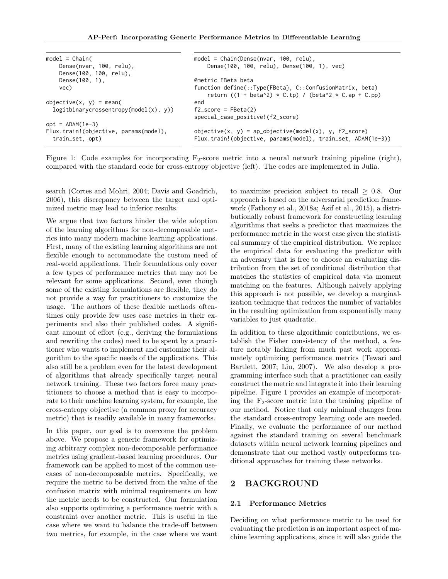<span id="page-1-0"></span>

| $model = Chain($                          | $model = Chain(Dense(nvar, 100, relu),$                                                                              |
|-------------------------------------------|----------------------------------------------------------------------------------------------------------------------|
| Dense(nvar, 100, relu),                   | Dense(100, 100, relu), Dense(100, 1), vec)                                                                           |
| Dense(100, 100, relu),                    |                                                                                                                      |
| Dense $(100, 1)$ ,                        | @metric FBeta beta                                                                                                   |
| vec)                                      | function define(::Type{FBeta}, C::ConfusionMatrix, beta)<br>return $((1 + \beta^2) * C.tp) / (\beta^2 * C.ap + C.p)$ |
| objective $(x, y) = \text{mean}($         | end                                                                                                                  |
| $logit binary crossentropy(model(x), y))$ | $f2$ _score = FBeta(2)                                                                                               |
|                                           | special_case_positive!(f2_score)                                                                                     |
| $opt = ADAM(1e-3)$                        |                                                                                                                      |
| Flux.train!(objective, params(model),     | objective(x, y) = ap_objective(model(x), y, f2_score)                                                                |
| train_set, opt)                           | Flux.train!(objective, params(model), train_set, ADAM(1e-3))                                                         |

Figure 1: Code examples for incorporating  $F_2$ -score metric into a neural network training pipeline (right), compared with the standard code for cross-entropy objective (left). The codes are implemented in Julia.

search [\(Cortes and Mohri,](#page-8-8) [2004;](#page-8-8) [Davis and Goadrich,](#page-8-9) [2006\)](#page-8-9), this discrepancy between the target and optimized metric may lead to inferior results.

We argue that two factors hinder the wide adoption of the learning algorithms for non-decomposable metrics into many modern machine learning applications. First, many of the existing learning algorithms are not flexible enough to accommodate the custom need of real-world applications. Their formulations only cover a few types of performance metrics that may not be relevant for some applications. Second, even though some of the existing formulations are flexible, they do not provide a way for practitioners to customize the usage. The authors of these flexible methods oftentimes only provide few uses case metrics in their experiments and also their published codes. A significant amount of effort (e.g., deriving the formulations and rewriting the codes) need to be spent by a practitioner who wants to implement and customize their algorithm to the specific needs of the applications. This also still be a problem even for the latest development of algorithms that already specifically target neural network training. These two factors force many practitioners to choose a method that is easy to incorporate to their machine learning system, for example, the cross-entropy objective (a common proxy for accuracy metric) that is readily available in many frameworks.

In this paper, our goal is to overcome the problem above. We propose a generic framework for optimizing arbitrary complex non-decomposable performance metrics using gradient-based learning procedures. Our framework can be applied to most of the common usecases of non-decomposable metrics. Specifically, we require the metric to be derived from the value of the confusion matrix with minimal requirements on how the metric needs to be constructed. Our formulation also supports optimizing a performance metric with a constraint over another metric. This is useful in the case where we want to balance the trade-off between two metrics, for example, in the case where we want to maximize precision subject to recall  $\geq$  0.8. Our approach is based on the adversarial prediction framework [\(Fathony et al.,](#page-8-10) [2018a;](#page-8-10) [Asif et al.,](#page-8-11) [2015\)](#page-8-11), a distributionally robust framework for constructing learning algorithms that seeks a predictor that maximizes the performance metric in the worst case given the statistical summary of the empirical distribution. We replace the empirical data for evaluating the predictor with an adversary that is free to choose an evaluating distribution from the set of conditional distribution that matches the statistics of empirical data via moment matching on the features. Although naively applying this approach is not possible, we develop a marginalization technique that reduces the number of variables in the resulting optimization from exponentially many variables to just quadratic.

In addition to these algorithmic contributions, we establish the Fisher consistency of the method, a feature notably lacking from much past work approximately optimizing performance metrics [\(Tewari and](#page-9-11) [Bartlett,](#page-9-11) [2007;](#page-9-11) [Liu,](#page-9-12) [2007\)](#page-9-12). We also develop a programming interface such that a practitioner can easily construct the metric and integrate it into their learning pipeline. Figure [1](#page-1-0) provides an example of incorporating the  $F_2$ -score metric into the training pipeline of our method. Notice that only minimal changes from the standard cross-entropy learning code are needed. Finally, we evaluate the performance of our method against the standard training on several benchmark datasets within neural network learning pipelines and demonstrate that our method vastly outperforms traditional approaches for training these networks.

# 2 BACKGROUND

#### 2.1 Performance Metrics

Deciding on what performance metric to be used for evaluating the prediction is an important aspect of machine learning applications, since it will also guide the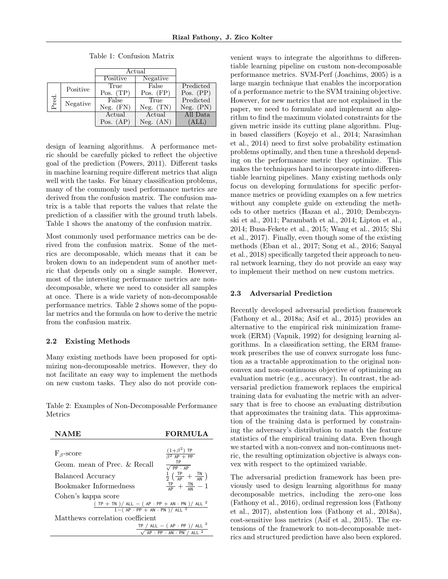<span id="page-2-0"></span>

|          |          | Actual        |               |             |
|----------|----------|---------------|---------------|-------------|
|          |          | Positive      | Negative      |             |
| Positive |          | True          | False         | Predicted   |
| Pred.    |          | Pos. $(TP)$   | Pos. $(FP)$   | Pos. $(PP)$ |
|          | Negative | False         | True          | Predicted   |
|          |          | $Neg.$ $(FN)$ | $Neg.$ $(TN)$ | Neg. (PN)   |
|          |          | Actual        | Actual        | All Data    |
|          |          | Pos. $(AP)$   | (AN)<br>Neg.  | (ALL)       |

Table 1: Confusion Matrix

design of learning algorithms. A performance metric should be carefully picked to reflect the objective goal of the prediction [\(Powers,](#page-9-13) [2011\)](#page-9-13). Different tasks in machine learning require different metrics that align well with the tasks. For binary classification problems, many of the commonly used performance metrics are derived from the confusion matrix. The confusion matrix is a table that reports the values that relate the prediction of a classifier with the ground truth labels. Table [1](#page-2-0) shows the anatomy of the confusion matrix.

Most commonly used performance metrics can be derived from the confusion matrix. Some of the metrics are decomposable, which means that it can be broken down to an independent sum of another metric that depends only on a single sample. However, most of the interesting performance metrics are nondecomposable, where we need to consider all samples at once. There is a wide variety of non-decomposable performance metrics. Table [2](#page-2-1) shows some of the popular metrics and the formula on how to derive the metric from the confusion matrix.

#### 2.2 Existing Methods

Many existing methods have been proposed for optimizing non-decomposable metrics. However, they do not facilitate an easy way to implement the methods on new custom tasks. They also do not provide con-

<span id="page-2-1"></span>Table 2: Examples of Non-Decomposable Performance Metrics



venient ways to integrate the algorithms to differentiable learning pipeline on custom non-decomposable performance metrics. SVM-Perf [\(Joachims,](#page-8-0) [2005\)](#page-8-0) is a large margin technique that enables the incorporation of a performance metric to the SVM training objective. However, for new metrics that are not explained in the paper, we need to formulate and implement an algorithm to find the maximum violated constraints for the given metric inside its cutting plane algorithm. Plugin based classifiers [\(Koyejo et al.,](#page-8-1) [2014;](#page-8-1) [Narasimhan](#page-9-0) [et al.,](#page-9-0) [2014\)](#page-9-0) need to first solve probability estimation problems optimally, and then tune a threshold depending on the performance metric they optimize. This makes the techniques hard to incorporate into differentiable learning pipelines. Many existing methods only focus on developing formulations for specific performance metrics or providing examples on a few metrics without any complete guide on extending the methods to other metrics [\(Hazan et al.,](#page-8-2) [2010;](#page-8-2) [Dembczyn](#page-8-3)[ski et al.,](#page-8-3) [2011;](#page-8-3) [Parambath et al.,](#page-9-1) [2014;](#page-9-1) [Lipton et al.,](#page-9-2) [2014;](#page-9-2) [Busa-Fekete et al.,](#page-8-4) [2015;](#page-8-4) [Wang et al.,](#page-9-3) [2015;](#page-9-3) [Shi](#page-9-4) [et al.,](#page-9-4) [2017\)](#page-9-4). Finally, even though some of the existing methods [\(Eban et al.,](#page-8-7) [2017;](#page-8-7) [Song et al.,](#page-9-9) [2016;](#page-9-9) [Sanyal](#page-9-10) [et al.,](#page-9-10) [2018\)](#page-9-10) specifically targeted their approach to neural network learning, they do not provide an easy way to implement their method on new custom metrics.

### 2.3 Adversarial Prediction

Recently developed adversarial prediction framework [\(Fathony et al.,](#page-8-10) [2018a;](#page-8-10) [Asif et al.,](#page-8-11) [2015\)](#page-8-11) provides an alternative to the empirical risk minimization framework (ERM) [\(Vapnik,](#page-9-14) [1992\)](#page-9-14) for designing learning algorithms. In a classification setting, the ERM framework prescribes the use of convex surrogate loss function as a tractable approximation to the original nonconvex and non-continuous objective of optimizing an evaluation metric (e.g., accuracy). In contrast, the adversarial prediction framework replaces the empirical training data for evaluating the metric with an adversary that is free to choose an evaluating distribution that approximates the training data. This approximation of the training data is performed by constraining the adversary's distribution to match the feature statistics of the empirical training data. Even though we started with a non-convex and non-continuous metric, the resulting optimization objective is always convex with respect to the optimized variable.

The adversarial prediction framework has been previously used to design learning algorithms for many decomposable metrics, including the zero-one loss [\(Fathony et al.,](#page-8-12) [2016\)](#page-8-12), ordinal regression loss [\(Fathony](#page-8-13) [et al.,](#page-8-13) [2017\)](#page-8-13), abstention loss [\(Fathony et al.,](#page-8-10) [2018a\)](#page-8-10), cost-sensitive loss metrics [\(Asif et al.,](#page-8-11) [2015\)](#page-8-11). The extensions of the framework to non-decomposable metrics and structured prediction have also been explored.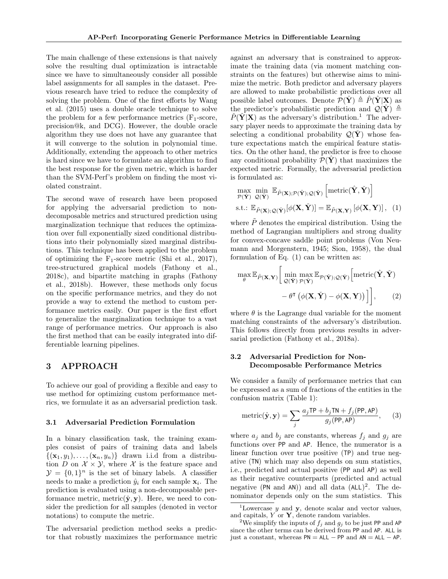The main challenge of these extensions is that naively solve the resulting dual optimization is intractable since we have to simultaneously consider all possible label assignments for all samples in the dataset. Previous research have tried to reduce the complexity of solving the problem. One of the first efforts by [Wang](#page-9-3) [et al.](#page-9-3) [\(2015\)](#page-9-3) uses a double oracle technique to solve the problem for a few performance metrics  $(F_1\text{-score},$ precision@k, and DCG). However, the double oracle algorithm they use does not have any guarantee that it will converge to the solution in polynomial time. Additionally, extending the approach to other metrics is hard since we have to formulate an algorithm to find the best response for the given metric, which is harder than the SVM-Perf's problem on finding the most violated constraint.

The second wave of research have been proposed for applying the adversarial prediction to nondecomposable metrics and structured prediction using marginalization technique that reduces the optimization over full exponentially sized conditional distributions into their polynomially sized marginal distributions. This technique has been applied to the problem of optimizing the  $F_1$ -score metric [\(Shi et al.,](#page-9-4) [2017\)](#page-9-4), tree-structured graphical models [\(Fathony et al.,](#page-8-14) [2018c\)](#page-8-14), and bipartite matching in graphs [\(Fathony](#page-8-15) [et al.,](#page-8-15) [2018b\)](#page-8-15). However, these methods only focus on the specific performance metrics, and they do not provide a way to extend the method to custom performance metrics easily. Our paper is the first effort to generalize the marginalization technique to a vast range of performance metrics. Our approach is also the first method that can be easily integrated into differentiable learning pipelines.

# 3 APPROACH

To achieve our goal of providing a flexible and easy to use method for optimizing custom performance metrics, we formulate it as an adversarial prediction task.

#### 3.1 Adversarial Prediction Formulation

In a binary classification task, the training examples consist of pairs of training data and labels  $\{(\mathbf{x}_1, y_1), \ldots, (\mathbf{x}_n, y_n)\}\)$  drawn i.i.d from a distribution D on  $\mathcal{X} \times \mathcal{Y}$ , where X is the feature space and  $\mathcal{Y} = \{0, 1\}^n$  is the set of binary labels. A classifier needs to make a prediction  $\hat{y}_i$  for each sample  $\mathbf{x}_i$ . The prediction is evaluated using a non-decomposable performance metric, metric $(\hat{\mathbf{y}}, \mathbf{y})$ . Here, we need to consider the prediction for all samples (denoted in vector notations) to compute the metric.

The adversarial prediction method seeks a predictor that robustly maximizes the performance metric against an adversary that is constrained to approximate the training data (via moment matching constraints on the features) but otherwise aims to minimize the metric. Both predictor and adversary players are allowed to make probabilistic predictions over all possible label outcomes. Denote  $\mathcal{P}(\hat{\mathbf{Y}}) \triangleq \hat{P}(\hat{\mathbf{Y}} | \mathbf{X})$  as the predictor's probabilistic prediction and  $\mathcal{Q}(\check{Y}) \triangleq$  $\check{P}(\check{\mathbf{Y}}|\mathbf{X})$  as the adversary's distribution.<sup>[1](#page-3-0)</sup> The adversary player needs to approximate the training data by selecting a conditional probability  $\mathcal{Q}(\mathbf{Y})$  whose feature expectations match the empirical feature statistics. On the other hand, the predictor is free to choose any conditional probability  $\mathcal{P}(\hat{\mathbf{Y}})$  that maximizes the expected metric. Formally, the adversarial prediction is formulated as:

<span id="page-3-1"></span>
$$
\max_{\mathcal{P}(\hat{\mathbf{Y}})} \min_{\mathcal{Q}(\check{\mathbf{Y}})} \mathbb{E}_{\tilde{\mathcal{P}}(\mathbf{X});\mathcal{P}(\hat{\mathbf{Y}}); \mathcal{Q}(\check{\mathbf{Y}})} \left[\text{metric}(\hat{\mathbf{Y}}, \check{\mathbf{Y}})\right]
$$
\ns.t.:  $\mathbb{E}_{\tilde{\mathcal{P}}(\mathbf{X});\mathcal{Q}(\check{\mathbf{Y}})}[\phi(\mathbf{X}, \check{\mathbf{Y}})] = \mathbb{E}_{\tilde{\mathcal{P}}(\mathbf{X}, \mathbf{Y})}[\phi(\mathbf{X}, \mathbf{Y})],$  (1)

where  $\tilde{P}$  denotes the empirical distribution. Using the method of Lagrangian multipliers and strong duality for convex-concave saddle point problems [\(Von Neu](#page-9-15)[mann and Morgenstern,](#page-9-15) [1945;](#page-9-15) [Sion,](#page-9-16) [1958\)](#page-9-16), the dual formulation of Eq. [\(1\)](#page-3-1) can be written as:

<span id="page-3-3"></span>
$$
\max_{\theta} \mathbb{E}_{\tilde{P}(\mathbf{X}, \mathbf{Y})} \left[ \min_{\mathcal{Q}(\tilde{\mathbf{Y}})} \max_{\mathcal{P}(\hat{\mathbf{Y}})} \mathbb{E}_{\mathcal{P}(\hat{\mathbf{Y}}); \mathcal{Q}(\tilde{\mathbf{Y}})} \left[ \text{metric}(\hat{\mathbf{Y}}, \tilde{\mathbf{Y}}) - \theta(\mathbf{X}, \tilde{\mathbf{Y}}) \right] \right], \quad (2)
$$

where  $\theta$  is the Lagrange dual variable for the moment matching constraints of the adversary's distribution. This follows directly from previous results in adversarial prediction [\(Fathony et al.,](#page-8-10) [2018a\)](#page-8-10).

# <span id="page-3-5"></span>3.2 Adversarial Prediction for Non-Decomposable Performance Metrics

We consider a family of performance metrics that can be expressed as a sum of fractions of the entities in the confusion matrix (Table [1\)](#page-2-0):

<span id="page-3-4"></span>
$$
metric(\hat{\mathbf{y}}, \mathbf{y}) = \sum_{j} \frac{a_j \text{TP} + b_j \text{TN} + f_j(\text{PP}, \text{AP})}{g_j(\text{PP}, \text{AP})}, \quad (3)
$$

where  $a_j$  and  $b_j$  are constants, whereas  $f_j$  and  $g_j$  are functions over PP and AP. Hence, the numerator is a linear function over true positive (TP) and true negative (TN) which may also depends on sum statistics, i.e., predicted and actual positive (PP and AP) as well as their negative counterparts (predicted and actual negative (PN and AN)) and all data  $(ALL)^2$  $(ALL)^2$ . The denominator depends only on the sum statistics. This

<span id="page-3-0"></span><sup>&</sup>lt;sup>1</sup>Lowercase  $y$  and  $y$ , denote scalar and vector values, and capitals,  $Y$  or  $Y$ , denote random variables.

<span id="page-3-2"></span><sup>&</sup>lt;sup>2</sup>We simplify the inputs of  $f_i$  and  $g_j$  to be just PP and AP since the other terms can be derived from PP and AP. ALL is just a constant, whereas  $PN = ALL - PP$  and  $AN = ALL - AP$ .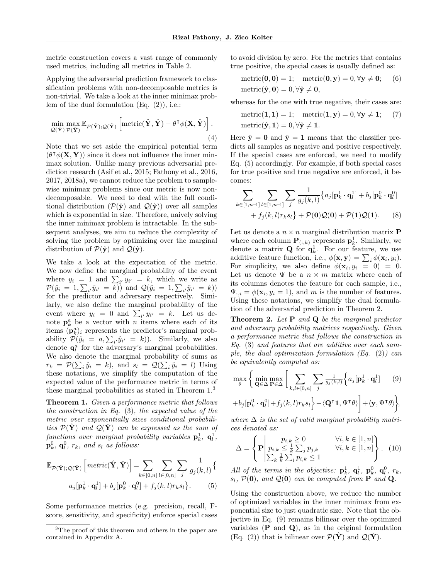metric construction covers a vast range of commonly used metrics, including all metrics in Table [2.](#page-2-1)

Applying the adversarial prediction framework to classification problems with non-decomposable metrics is non-trivial. We take a look at the inner minimax problem of the dual formulation (Eq. [\(2\)](#page-3-3)), i.e.:

$$
\min_{\mathcal{Q}(\check{\mathbf{Y}}) \; \mathcal{P}(\hat{\mathbf{Y}})} \max_{\mathcal{P}(\hat{\mathbf{Y}}); \mathcal{Q}(\check{\mathbf{Y}})} \left[ \text{metric}(\hat{\mathbf{Y}}, \check{\mathbf{Y}}) - \theta^{\mathsf{T}} \phi(\mathbf{X}, \check{\mathbf{Y}}) \right].
$$
\n(4)

Note that we set aside the empirical potential term  $(\theta^{\intercal}\phi(\mathbf{X}, \mathbf{Y}))$  since it does not influence the inner minimax solution. Unlike many previous adversarial prediction research [\(Asif et al.,](#page-8-11) [2015;](#page-8-11) [Fathony et al.,](#page-8-12) [2016,](#page-8-12) [2017,](#page-8-13) [2018a\)](#page-8-10), we cannot reduce the problem to samplewise minimax problems since our metric is now nondecomposable. We need to deal with the full conditional distribution  $(\mathcal{P}(\hat{\mathbf{y}}))$  and  $\mathcal{Q}(\hat{\mathbf{y}})$  over all samples which is exponential in size. Therefore, naively solving the inner minimax problem is intractable. In the subsequent analyses, we aim to reduce the complexity of solving the problem by optimizing over the marginal distribution of  $\mathcal{P}(\hat{\mathbf{y}})$  and  $\mathcal{Q}(\hat{\mathbf{y}})$ .

We take a look at the expectation of the metric. We now define the marginal probability of the event where  $y_i = 1$  and  $\sum_{i'} y_{i'} = k$ , which we write as  $\mathcal{P}(\hat{y}_i = 1, \sum_{i'} \hat{y}_{i'} = k)$  and  $\mathcal{Q}(\check{y}_i = 1, \sum_{i'} \check{y}_{i'} = k)$ for the predictor and adversary respectively. Similarly, we also define the marginal probability of the event where  $y_i = 0$  and  $\sum_{i'} y_{i'} = k$ . Let us denote  $\mathbf{p}_k^a$  be a vector with n items where each of its items  $(\mathbf{p}_{k}^{a})_{i}$  represents the predictor's marginal probability  $\mathcal{P}(\hat{y}_i = a, \sum_{i'} \hat{y}_{i'} = k)$ . Similarly, we also denote  $\mathbf{q}_l^a$  for the adversary's marginal probabilities. We also denote the marginal probability of sums as  $r_k = \mathcal{P}(\sum_i \hat{y}_i = k)$ , and  $s_l = \mathcal{Q}(\sum_i \check{y}_i = l)$  Using these notations, we simplify the computation of the expected value of the performance metric in terms of these marginal probabilities as stated in Theorem  $1.^3$  $1.^3$  $1.^3$ 

<span id="page-4-0"></span>Theorem 1. Given a performance metric that follows the construction in Eq.  $(3)$ , the expected value of the metric over exponentially sizes conditional probabilities  $\mathcal{P}(\mathbf{Y})$  and  $\mathcal{Q}(\mathbf{Y})$  can be expressed as the sum of functions over marginal probability variables  $\mathbf{p}_k^1$ ,  $\mathbf{q}_l^1$ ,  $\mathbf{p}_k^0$ ,  $\mathbf{q}_l^0$ ,  $r_k$ , and  $s_l$  as follows:

$$
\mathbb{E}_{\mathcal{P}(\hat{\mathbf{Y}}); \mathcal{Q}(\check{\mathbf{Y}})} \left[ \text{metric}(\hat{\mathbf{Y}}, \check{\mathbf{Y}}) \right] = \sum_{k \in [0,n]} \sum_{l \in [0,n]} \sum_{j} \frac{1}{g_j(k,l)} \left\{ \right. \left. a_j[\mathbf{p}_k^1 \cdot \mathbf{q}_l^1] + b_j[\mathbf{p}_k^0 \cdot \mathbf{q}_l^0] + f_j(k,l)r_k s_l \right\}.
$$
\n(5)

Some performance metrics (e.g. precision, recall, Fscore, sensitivity, and specificity) enforce special cases

to avoid division by zero. For the metrics that contains true positive, the special cases is usually defined as:

metric(
$$
\mathbf{0}, \mathbf{0}
$$
) = 1; metric( $\mathbf{0}, \mathbf{y}$ ) = 0,  $\forall \mathbf{y} \neq \mathbf{0}$ ; (6)  
metric( $\hat{\mathbf{y}}, \mathbf{0}$ ) = 0,  $\forall \hat{\mathbf{y}} \neq \mathbf{0}$ ,

whereas for the one with true negative, their cases are:

metric(1, 1) = 1; metric(1, y) = 0, 
$$
\forall
$$
**y**  $\neq$  1; (7)  
metric( $\hat{\mathbf{y}}$ , 1) = 0,  $\forall$ **y**  $\neq$  1.

Here  $\hat{y} = 0$  and  $\hat{y} = 1$  means that the classifier predicts all samples as negative and positive respectively. If the special cases are enforced, we need to modify Eq. [\(5\)](#page-4-2) accordingly. For example, if both special cases for true positive and true negative are enforced, it becomes:

$$
\sum_{k \in [1,n-1]} \sum_{l \in [1,n-1]} \sum_{j} \frac{1}{g_j(k,l)} \{a_j[\mathbf{p}_k^1 \cdot \mathbf{q}_l^1] + b_j[\mathbf{p}_k^0 \cdot \mathbf{q}_l^0] + f_j(k,l)r_k s_l\} + \mathcal{P}(\mathbf{0})\mathcal{Q}(\mathbf{0}) + \mathcal{P}(\mathbf{1})\mathcal{Q}(\mathbf{1}).
$$
 (8)

Let us denote a  $n \times n$  marginal distribution matrix **P** where each column  $\mathbf{P}_{(:,k)}$  represents  $\mathbf{p}_k^1$ . Similarly, we denote a matrix **Q** for  $\mathbf{q}_k^1$ . For our feature, we use additive feature function, i.e.,  $\phi(\mathbf{x}, \mathbf{y}) = \sum_{i} \phi(\mathbf{x}_i, y_i)$ . For simplicity, we also define  $\phi(\mathbf{x}_i, y_i = 0) = 0$ . Let us denote  $\Psi$  be a  $n \times m$  matrix where each of its columns denotes the feature for each sample, i.e.,  $\Psi_{:,i} = \phi(\mathbf{x}_i, y_i = 1)$ , and m is the number of features. Using these notations, we simplify the dual formulation of the adversarial prediction in Theorem [2.](#page-4-3)

<span id="page-4-3"></span>Theorem 2. Let P and Q be the marginal predictor and adversary probability matrices respectively. Given a performance metric that follows the construction in Eq. [\(3\)](#page-3-4) and features that are additive over each sample, the dual optimization formulation (Eq.  $(2)$ ) can be equivalently computed as:

<span id="page-4-4"></span>
$$
\max_{\theta} \left\{ \min_{\mathbf{Q} \in \Delta} \max_{\mathbf{P} \in \Delta} \left[ \sum_{k,l \in [0,n]} \sum_{j} \frac{1}{g_j(k,l)} \left\{ a_j [\mathbf{p}_k^1 \cdot \mathbf{q}_l^1] \right\} \right. (9) + b_j [\mathbf{p}_k^0 \cdot \mathbf{q}_l^0] + f_j(k,l) r_k s_l \right\} - \langle \mathbf{Q}^\mathsf{T} \mathbf{1}, \Psi^\mathsf{T} \theta \rangle \right\} + \langle \mathbf{y}, \Psi^\mathsf{T} \theta \rangle \bigg\},
$$

where  $\Delta$  is the set of valid marginal probability matrices denoted as:

<span id="page-4-5"></span>
$$
\Delta = \left\{ \mathbf{P} \middle| \begin{matrix} p_{i,k} \geq 0 & \forall i, k \in [1,n] \\ p_{i,k} \leq \frac{1}{k} \sum_j p_{j,k} & \forall i, k \in [1,n] \\ \sum_k \frac{1}{k} \sum_i p_{i,k} \leq 1 \end{matrix} \right\}.
$$
 (10)

<span id="page-4-2"></span>All of the terms in the objective:  $\mathbf{p}_k^1$ ,  $\mathbf{q}_l^1$ ,  $\mathbf{p}_k^0$ ,  $\mathbf{q}_l^0$ ,  $r_k$ ,  $s_l$ ,  $\mathcal{P}(\mathbf{0})$ , and  $\mathcal{Q}(\mathbf{0})$  can be computed from **P** and **Q**.

Using the construction above, we reduce the number of optimized variables in the inner minimax from exponential size to just quadratic size. Note that the objective in Eq. [\(9\)](#page-4-4) remains bilinear over the optimized variables  $(P \text{ and } Q)$ , as in the original formulation (Eq. [\(2\)](#page-3-3)) that is bilinear over  $\mathcal{P}(\hat{\mathbf{Y}})$  and  $\mathcal{Q}(\hat{\mathbf{Y}})$ .

<span id="page-4-1"></span><sup>&</sup>lt;sup>3</sup>The proof of this theorem and others in the paper are contained in Appendix [A.](#page-10-0)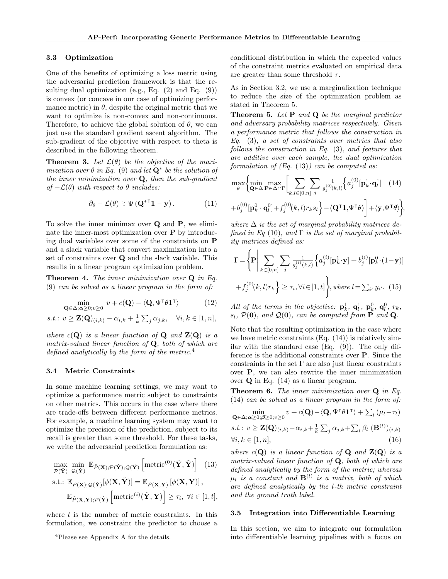#### <span id="page-5-7"></span>3.3 Optimization

One of the benefits of optimizing a loss metric using the adversarial prediction framework is that the resulting dual optimization (e.g., Eq.  $(2)$  and Eq.  $(9)$ ) is convex (or concave in our case of optimizing performance metric) in  $\theta$ , despite the original metric that we want to optimize is non-convex and non-continuous. Therefore, to achieve the global solution of  $\theta$ , we can just use the standard gradient ascent algorithm. The sub-gradient of the objective with respect to theta is described in the following theorem.

<span id="page-5-8"></span>**Theorem 3.** Let  $\mathcal{L}(\theta)$  be the objective of the maximization over  $\theta$  in Eq. [\(9\)](#page-4-4) and let  $\mathbf{Q}^*$  be the solution of the inner minimization over  $Q$ , then the sub-gradient of  $-\mathcal{L}(\theta)$  with respect to  $\theta$  includes:

$$
\partial_{\theta} - \mathcal{L}(\theta) \ni \Psi (\mathbf{Q}^{*T} \mathbf{1} - \mathbf{y}). \tag{11}
$$

To solve the inner minimax over Q and P, we eliminate the inner-most optimization over P by introducing dual variables over some of the constraints on P and a slack variable that convert maximization into a set of constraints over Q and the slack variable. This results in a linear program optimization problem.

<span id="page-5-9"></span>**Theorem 4.** The inner minimization over  $Q$  in Eq. [\(9\)](#page-4-4) can be solved as a linear program in the form of:

$$
\min_{\mathbf{Q} \in \Delta; \alpha \ge 0; v \ge 0} v + c(\mathbf{Q}) - \langle \mathbf{Q}, \Psi^{\mathsf{T}} \theta \mathbf{1}^{\mathsf{T}} \rangle \tag{12}
$$

s.t.: 
$$
v \ge \mathbf{Z}(\mathbf{Q})_{(i,k)} - \alpha_{i,k} + \frac{1}{k} \sum_j \alpha_{j,k}, \quad \forall i, k \in [1, n],
$$

where  $c(\mathbf{Q})$  is a linear function of  $\mathbf{Q}$  and  $\mathbf{Z}(\mathbf{Q})$  is a matrix-valued linear function of  $Q$ , both of which are defined analytically by the form of the metric. $4$ 

#### 3.4 Metric Constraints

In some machine learning settings, we may want to optimize a performance metric subject to constraints on other metrics. This occurs in the case where there are trade-offs between different performance metrics. For example, a machine learning system may want to optimize the precision of the prediction, subject to its recall is greater than some threshold. For these tasks, we write the adversarial prediction formulation as:

$$
\begin{aligned}\n\max_{\mathcal{P}(\hat{\mathbf{Y}})} \min_{\mathcal{Q}(\hat{\mathbf{Y}})} \mathbb{E}_{\tilde{P}(\mathbf{X});\mathcal{P}(\hat{\mathbf{Y}}); \mathcal{Q}(\check{\mathbf{Y}})} \left[\text{metric}^{(0)}(\hat{\mathbf{Y}}, \check{\mathbf{Y}})\right] \quad (13) \\
\text{s.t.: } \mathbb{E}_{\tilde{P}(\mathbf{X});\mathcal{Q}(\check{\mathbf{Y}})}[\phi(\mathbf{X}, \check{\mathbf{Y}})] = \mathbb{E}_{\tilde{P}(\mathbf{X},\mathbf{Y})}[\phi(\mathbf{X}, \mathbf{Y})], \\
\mathbb{E}_{\tilde{P}(\mathbf{X},\mathbf{Y});\mathcal{P}(\hat{\mathbf{Y}})} \left[\text{metric}^{(i)}(\hat{\mathbf{Y}}, \mathbf{Y})\right] \geq \tau_i, \ \forall i \in [1, t],\n\end{aligned}
$$

where  $t$  is the number of metric constraints. In this formulation, we constraint the predictor to choose a conditional distribution in which the expected values of the constraint metrics evaluated on empirical data are greater than some threshold  $\tau$ .

As in Section [3.2,](#page-3-5) we use a marginalization technique to reduce the size of the optimization problem as stated in Theorem [5.](#page-5-1)

<span id="page-5-1"></span>Theorem 5. Let P and Q be the marginal predictor and adversary probability matrices respectively. Given a performance metric that follows the construction in Eq. [\(3\)](#page-3-4), a set of constraints over metrics that also follows the construction in Eq. [\(3\)](#page-3-4), and features that are additive over each sample, the dual optimization formulation of  $(Eq. (13))$  $(Eq. (13))$  $(Eq. (13))$  can be computed as:

<span id="page-5-4"></span><span id="page-5-3"></span>
$$
\max_{\theta} \left\{ \min_{\mathbf{Q} \in \Delta} \max_{\mathbf{P} \in \Delta \cap \Gamma} \left[ \sum_{k,l \in [0,n]} \sum_{j} \frac{1}{g_j^{(0)}(k,l)} \left\{ a_j^{(0)}[\mathbf{p}_k^1 \cdot \mathbf{q}_l^1] \right\} \right] (14) + b_j^{(0)}[\mathbf{p}_k^0 \cdot \mathbf{q}_l^0] + f_j^{(0)}(k,l) r_k s_l \right\} - \langle \mathbf{Q}^\mathsf{T} \mathbf{1}, \Psi^\mathsf{T} \theta \rangle \right\},
$$

where  $\Delta$  is the set of marginal probability matrices de-fined in Eq [\(10\)](#page-4-5), and  $\Gamma$  is the set of marginal probability matrices defined as:

 $\mathbf{z}$ 

$$
\Gamma = \left\{ \mathbf{P} \middle| \sum_{k \in [0,n]} \sum_{j} \frac{1}{g_j^{(i)}(k,l)} \left\{ a_j^{(i)}[\mathbf{p}_k^1 \cdot \mathbf{y}] + b_j^{(i)}[\mathbf{p}_k^0 \cdot (1-\mathbf{y})] \right. \right. \\ \left. + f_j^{(0)}(k,l)r_k \right\} \ge \tau_i, \forall i \in [1,t] \right\}, \text{where } l = \sum_{i'} y_{i'}.
$$
 (15)

<span id="page-5-5"></span>All of the terms in the objective:  $\mathbf{p}_k^1$ ,  $\mathbf{q}_l^1$ ,  $\mathbf{p}_k^0$ ,  $\mathbf{q}_l^0$ ,  $r_k$ ,  $s_l$ ,  $\mathcal{P}(\mathbf{0})$ , and  $\mathcal{Q}(\mathbf{0})$ , can be computed from **P** and **Q**.

Note that the resulting optimization in the case where we have metric constraints  $(Eq. (14))$  $(Eq. (14))$  $(Eq. (14))$  is relatively similar with the standard case (Eq. [\(9\)](#page-4-4)). The only difference is the additional constraints over P. Since the constraints in the set  $\Gamma$  are also just linear constraints over P, we can also rewrite the inner minimization over Q in Eq. [\(14\)](#page-5-3) as a linear program.

<span id="page-5-10"></span>Theorem 6. The inner minimization over Q in Eq. [\(14\)](#page-5-3) can be solved as a linear program in the form of:

<span id="page-5-6"></span>
$$
\min_{\mathbf{Q}\in\Delta;\mathbf{\alpha}\geq0;\boldsymbol{\beta}\geq0;\upsilon\geq0}v+c(\mathbf{Q})-\langle\mathbf{Q},\Psi^{\mathsf{T}}\boldsymbol{\theta}\mathbf{1}^{\mathsf{T}}\rangle+\sum_{l}(\mu_{l}-\tau_{l})
$$
\n*s.t.*:  $v \geq \mathbf{Z}(\mathbf{Q})_{(i,k)}-\alpha_{i,k}+\frac{1}{k}\sum_{j}\alpha_{j,k}+\sum_{l}\beta_{l}(\mathbf{B}^{(l)})_{(i,k)}$   
\n $\forall i,k \in [1,n],$ \n(16)

<span id="page-5-2"></span>where  $c(\mathbf{Q})$  is a linear function of  $\mathbf{Q}$  and  $\mathbf{Z}(\mathbf{Q})$  is a matrix-valued linear function of  $Q$ , both of which are defined analytically by the form of the metric; whereas  $\mu_l$  is a constant and  $\mathbf{B}^{(l)}$  is a matrix, both of which are defined analytically by the l-th metric constraint and the ground truth label.

#### 3.5 Integration into Differentiable Learning

In this section, we aim to integrate our formulation into differentiable learning pipelines with a focus on

<span id="page-5-0"></span><sup>4</sup>Please see Appendix [A](#page-10-0) for the details.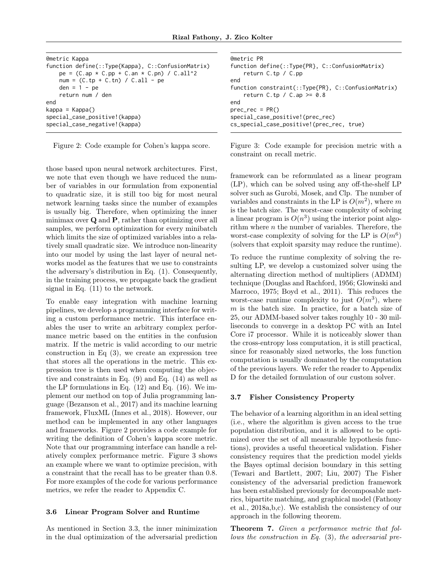<span id="page-6-0"></span>

| @metric Kappa                                                                                                                                              |
|------------------------------------------------------------------------------------------------------------------------------------------------------------|
| function define(::Type{Kappa}, C::ConfusionMatrix)<br>$pe = (C(ap * C.pp + C_an * C.pn) / C.al1^2$<br>$num = (C(tp + C.th) / C.all - pe$<br>den = $1 - pe$ |
| return num / den                                                                                                                                           |
| end                                                                                                                                                        |
| $kappa = Kappa()$                                                                                                                                          |
| special_case_positive!(kappa)<br>special_case_negative!(kappa)                                                                                             |

Figure 2: Code example for Cohen's kappa score.

those based upon neural network architectures. First, we note that even though we have reduced the number of variables in our formulation from exponential to quadratic size, it is still too big for most neural network learning tasks since the number of examples is usually big. Therefore, when optimizing the inner minimax over Q and P, rather than optimizing over all samples, we perform optimization for every minibatch which limits the size of optimized variables into a relatively small quadratic size. We introduce non-linearity into our model by using the last layer of neural networks model as the features that we use to constraints the adversary's distribution in Eq. [\(1\)](#page-3-1). Consequently, in the training process, we propagate back the gradient signal in Eq. [\(11\)](#page-5-4) to the network.

To enable easy integration with machine learning pipelines, we develop a programming interface for writing a custom performance metric. This interface enables the user to write an arbitrary complex performance metric based on the entities in the confusion matrix. If the metric is valid according to our metric construction in Eq  $(3)$ , we create an expression tree that stores all the operations in the metric. This expression tree is then used when computing the objective and constraints in Eq. [\(9\)](#page-4-4) and Eq. [\(14\)](#page-5-3) as well as the LP formulations in Eq. [\(12\)](#page-5-5) and Eq. [\(16\)](#page-5-6). We implement our method on top of Julia programming language [\(Bezanson et al.,](#page-8-16) [2017\)](#page-8-16) and its machine learning framework, FluxML [\(Innes et al.,](#page-8-17) [2018\)](#page-8-17). However, our method can be implemented in any other languages and frameworks. Figure [2](#page-6-0) provides a code example for writing the definition of Cohen's kappa score metric. Note that our programming interface can handle a relatively complex performance metric. Figure [3](#page-6-1) shows an example where we want to optimize precision, with a constraint that the recall has to be greater than 0.8. For more examples of the code for various performance metrics, we refer the reader to Appendix [C.](#page-17-0)

#### 3.6 Linear Program Solver and Runtime

As mentioned in Section [3.3,](#page-5-7) the inner minimization in the dual optimization of the adversarial prediction

<span id="page-6-1"></span>

| <b>@metric PR</b>                                                                   |  |  |
|-------------------------------------------------------------------------------------|--|--|
| function define(::Type{PR}, C::ConfusionMatrix)                                     |  |  |
| return $C.tp / C.pp$                                                                |  |  |
| end                                                                                 |  |  |
| function constraint(::Type{PR}, C::ConfusionMatrix)<br>return C.tp / C.ap $\ge$ 0.8 |  |  |
| end                                                                                 |  |  |
| $prec\_rec = PR()$                                                                  |  |  |
| special_case_positive!(prec_rec)                                                    |  |  |
| cs_special_case_positive!(prec_rec, true)                                           |  |  |

Figure 3: Code example for precision metric with a constraint on recall metric.

framework can be reformulated as a linear program (LP), which can be solved using any off-the-shelf LP solver such as Gurobi, Mosek, and Clp. The number of variables and constraints in the LP is  $O(m^2)$ , where m is the batch size. The worst-case complexity of solving a linear program is  $O(n^3)$  using the interior point algorithm where  $n$  the number of variables. Therefore, the worst-case complexity of solving for the LP is  $O(m^6)$ (solvers that exploit sparsity may reduce the runtime).

To reduce the runtime complexity of solving the resulting LP, we develop a customized solver using the alternating direction method of multipliers (ADMM) technique [\(Douglas and Rachford,](#page-8-18) [1956;](#page-8-18) [Glowinski and](#page-8-19) [Marroco,](#page-8-19) [1975;](#page-8-19) [Boyd et al.,](#page-8-20) [2011\)](#page-8-20). This reduces the worst-case runtime complexity to just  $O(m^3)$ , where  $m$  is the batch size. In practice, for a batch size of 25, our ADMM-based solver takes roughly 10 - 30 milliseconds to converge in a desktop PC with an Intel Core i7 processor. While it is noticeably slower than the cross-entropy loss computation, it is still practical, since for reasonably sized networks, the loss function computation is usually dominated by the computation of the previous layers. We refer the reader to Appendix [D](#page-20-0) for the detailed formulation of our custom solver.

#### 3.7 Fisher Consistency Property

The behavior of a learning algorithm in an ideal setting (i.e., where the algorithm is given access to the true population distribution, and it is allowed to be optimized over the set of all measurable hypothesis functions), provides a useful theoretical validation. Fisher consistency requires that the prediction model yields the Bayes optimal decision boundary in this setting [\(Tewari and Bartlett,](#page-9-11) [2007;](#page-9-11) [Liu,](#page-9-12) [2007\)](#page-9-12) The Fisher consistency of the adversarial prediction framework has been established previously for decomposable metrics, bipartite matching, and graphical model [\(Fathony](#page-8-10) [et al.,](#page-8-10) [2018a](#page-8-10)[,b,](#page-8-15)[c\)](#page-8-14). We establish the consistency of our approach in the following theorem.

<span id="page-6-2"></span>Theorem 7. Given a performance metric that follows the construction in Eq. [\(3\)](#page-3-4), the adversarial pre-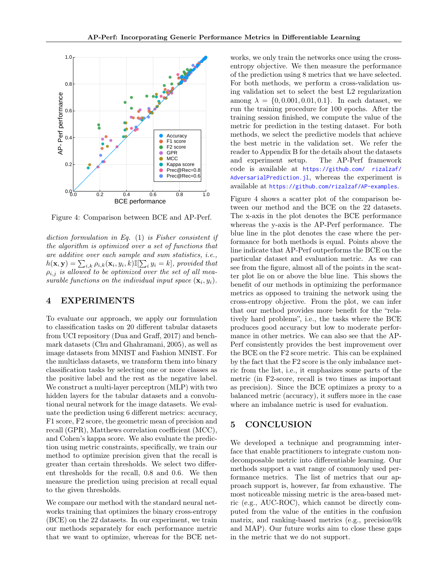<span id="page-7-0"></span>

Figure 4: Comparison between BCE and AP-Perf.

diction formulation in Eq. [\(1\)](#page-3-1) is Fisher consistent if the algorithm is optimized over a set of functions that are additive over each sample and sum statistics, i.e.,  $h(\mathbf{x}, \mathbf{y}) = \sum_{i,k} \rho_{i,k}(\mathbf{x}_i, y_i, k) \mathbb{I}[\sum_i y_i = k]$ , provided that  $\rho_{i,j}$  is allowed to be optimized over the set of all measurable functions on the individual input space  $(\mathbf{x}_i, y_i)$ .

# 4 EXPERIMENTS

To evaluate our approach, we apply our formulation to classification tasks on 20 different tabular datasets from UCI repository [\(Dua and Graff,](#page-8-21) [2017\)](#page-8-21) and benchmark datasets [\(Chu and Ghahramani,](#page-8-22) [2005\)](#page-8-22), as well as image datasets from MNIST and Fashion MNIST. For the multiclass datasets, we transform them into binary classification tasks by selecting one or more classes as the positive label and the rest as the negative label. We construct a multi-layer perceptron (MLP) with two hidden layers for the tabular datasets and a convolutional neural network for the image datasets. We evaluate the prediction using 6 different metrics: accuracy, F1 score, F2 score, the geometric mean of precision and recall (GPR), Matthews correlation coefficient (MCC), and Cohen's kappa score. We also evaluate the prediction using metric constraints, specifically, we train our method to optimize precision given that the recall is greater than certain thresholds. We select two different thresholds for the recall, 0.8 and 0.6. We then measure the prediction using precision at recall equal to the given thresholds.

We compare our method with the standard neural networks training that optimizes the binary cross-entropy (BCE) on the 22 datasets. In our experiment, we train our methods separately for each performance metric that we want to optimize, whereas for the BCE networks, we only train the networks once using the crossentropy objective. We then measure the performance of the prediction using 8 metrics that we have selected. For both methods, we perform a cross-validation using validation set to select the best L2 regularization among  $\lambda = \{0, 0.001, 0.01, 0.1\}$ . In each dataset, we run the training procedure for 100 epochs. After the training session finished, we compute the value of the metric for prediction in the testing dataset. For both methods, we select the predictive models that achieve the best metric in the validation set. We refer the reader to Appendix [B](#page-16-0) for the details about the datasets and experiment setup. The AP-Perf framework code is available at [https://github.com/ rizalzaf/](https://github.com/rizalzaf/AdversarialPrediction.jl) [AdversarialPrediction.jl](https://github.com/rizalzaf/AdversarialPrediction.jl), whereas the experiment is available at <https://github.com/rizalzaf/AP-examples>.

Figure [4](#page-7-0) shows a scatter plot of the comparison between our method and the BCE on the 22 datasets. The x-axis in the plot denotes the BCE performance whereas the y-axis is the AP-Perf performance. The blue line in the plot denotes the case where the performance for both methods is equal. Points above the line indicate that AP-Perf outperforms the BCE on the particular dataset and evaluation metric. As we can see from the figure, almost all of the points in the scatter plot lie on or above the blue line. This shows the benefit of our methods in optimizing the performance metrics as opposed to training the network using the cross-entropy objective. From the plot, we can infer that our method provides more benefit for the "relatively hard problems", i.e., the tasks where the BCE produces good accuracy but low to moderate performance in other metrics. We can also see that the AP-Perf consistently provides the best improvement over the BCE on the F2 score metric. This can be explained by the fact that the F2 score is the only imbalance metric from the list, i.e., it emphasizes some parts of the metric (in F2-score, recall is two times as important as precision). Since the BCE optimizes a proxy to a balanced metric (accuracy), it suffers more in the case where an imbalance metric is used for evaluation.

# 5 CONCLUSION

We developed a technique and programming interface that enable practitioners to integrate custom nondecomposable metric into differentiable learning. Our methods support a vast range of commonly used performance metrics. The list of metrics that our approach support is, however, far from exhaustive. The most noticeable missing metric is the area-based metric (e.g., AUC-ROC), which cannot be directly computed from the value of the entities in the confusion matrix, and ranking-based metrics (e.g., precision@k and MAP). Our future works aim to close these gaps in the metric that we do not support.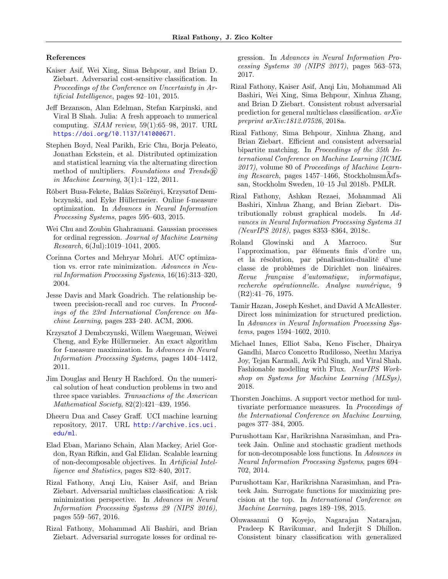#### References

- <span id="page-8-11"></span>Kaiser Asif, Wei Xing, Sima Behpour, and Brian D. Ziebart. Adversarial cost-sensitive classification. In Proceedings of the Conference on Uncertainty in Artificial Intelligence, pages 92–101, 2015.
- <span id="page-8-16"></span>Jeff Bezanson, Alan Edelman, Stefan Karpinski, and Viral B Shah. Julia: A fresh approach to numerical computing. SIAM review, 59(1):65–98, 2017. URL <https://doi.org/10.1137/141000671>.
- <span id="page-8-20"></span>Stephen Boyd, Neal Parikh, Eric Chu, Borja Peleato, Jonathan Eckstein, et al. Distributed optimization and statistical learning via the alternating direction method of multipliers. Foundations and Trends $(\widehat{R})$ in Machine Learning, 3(1):1–122, 2011.
- <span id="page-8-4"></span>Róbert Busa-Fekete, Balázs Szörényi, Krzysztof Dembczynski, and Eyke Hüllermeier. Online f-measure optimization. In Advances in Neural Information Processing Systems, pages 595–603, 2015.
- <span id="page-8-22"></span>Wei Chu and Zoubin Ghahramani. Gaussian processes for ordinal regression. Journal of Machine Learning Research, 6(Jul):1019–1041, 2005.
- <span id="page-8-8"></span>Corinna Cortes and Mehryar Mohri. AUC optimization vs. error rate minimization. Advances in Neural Information Processing Systems, 16(16):313–320, 2004.
- <span id="page-8-9"></span>Jesse Davis and Mark Goadrich. The relationship between precision-recall and roc curves. In Proceedings of the 23rd International Conference on Machine Learning, pages 233–240. ACM, 2006.
- <span id="page-8-3"></span>Krzysztof J Dembczynski, Willem Waegeman, Weiwei Cheng, and Eyke Hüllermeier. An exact algorithm for f-measure maximization. In Advances in Neural Information Processing Systems, pages 1404–1412, 2011.
- <span id="page-8-18"></span>Jim Douglas and Henry H Rachford. On the numerical solution of heat conduction problems in two and three space variables. Transactions of the American Mathematical Society, 82(2):421–439, 1956.
- <span id="page-8-21"></span>Dheeru Dua and Casey Graff. UCI machine learning repository, 2017. URL [http://archive.ics.uci.](http://archive.ics.uci.edu/ml) [edu/ml](http://archive.ics.uci.edu/ml).
- <span id="page-8-7"></span>Elad Eban, Mariano Schain, Alan Mackey, Ariel Gordon, Ryan Rifkin, and Gal Elidan. Scalable learning of non-decomposable objectives. In Artificial Intelligence and Statistics, pages 832–840, 2017.
- <span id="page-8-12"></span>Rizal Fathony, Anqi Liu, Kaiser Asif, and Brian Ziebart. Adversarial multiclass classification: A risk minimization perspective. In Advances in Neural Information Processing Systems 29 (NIPS 2016), pages 559–567, 2016.
- <span id="page-8-13"></span>Rizal Fathony, Mohammad Ali Bashiri, and Brian Ziebart. Adversarial surrogate losses for ordinal re-

gression. In Advances in Neural Information Processing Systems 30 (NIPS 2017), pages 563–573, 2017.

- <span id="page-8-10"></span>Rizal Fathony, Kaiser Asif, Anqi Liu, Mohammad Ali Bashiri, Wei Xing, Sima Behpour, Xinhua Zhang, and Brian D Ziebart. Consistent robust adversarial prediction for general multiclass classification. arXiv preprint arXiv:1812.07526, 2018a.
- <span id="page-8-15"></span>Rizal Fathony, Sima Behpour, Xinhua Zhang, and Brian Ziebart. Efficient and consistent adversarial bipartite matching. In Proceedings of the 35th International Conference on Machine Learning (ICML 2017), volume 80 of Proceedings of Machine Learning Research, pages 1457–1466, StockholmsmÃďssan, Stockholm Sweden, 10–15 Jul 2018b. PMLR.
- <span id="page-8-14"></span>Rizal Fathony, Ashkan Rezaei, Mohammad Ali Bashiri, Xinhua Zhang, and Brian Ziebart. Distributionally robust graphical models. In Advances in Neural Information Processing Systems 31 (NeurIPS 2018), pages 8353–8364, 2018c.
- <span id="page-8-19"></span>Roland Glowinski and A Marroco. Sur l'approximation, par éléments finis d'ordre un, et la résolution, par pénalisation-dualité d'une classe de problèmes de Dirichlet non linéaires. Revue française d'automatique, informatique, recherche opérationnelle. Analyse numérique, 9 (R2):41–76, 1975.
- <span id="page-8-2"></span>Tamir Hazan, Joseph Keshet, and David A McAllester. Direct loss minimization for structured prediction. In Advances in Neural Information Processing Systems, pages 1594–1602, 2010.
- <span id="page-8-17"></span>Michael Innes, Elliot Saba, Keno Fischer, Dhairya Gandhi, Marco Concetto Rudilosso, Neethu Mariya Joy, Tejan Karmali, Avik Pal Singh, and Viral Shah. Fashionable modelling with Flux. NeurIPS Workshop on Systems for Machine Learning (MLSys), 2018.
- <span id="page-8-0"></span>Thorsten Joachims. A support vector method for multivariate performance measures. In Proceedings of the International Conference on Machine Learning, pages 377–384, 2005.
- <span id="page-8-5"></span>Purushottam Kar, Harikrishna Narasimhan, and Prateek Jain. Online and stochastic gradient methods for non-decomposable loss functions. In Advances in Neural Information Processing Systems, pages 694– 702, 2014.
- <span id="page-8-6"></span>Purushottam Kar, Harikrishna Narasimhan, and Prateek Jain. Surrogate functions for maximizing precision at the top. In International Conference on Machine Learning, pages 189–198, 2015.
- <span id="page-8-1"></span>Oluwasanmi O Koyejo, Nagarajan Natarajan, Pradeep K Ravikumar, and Inderjit S Dhillon. Consistent binary classification with generalized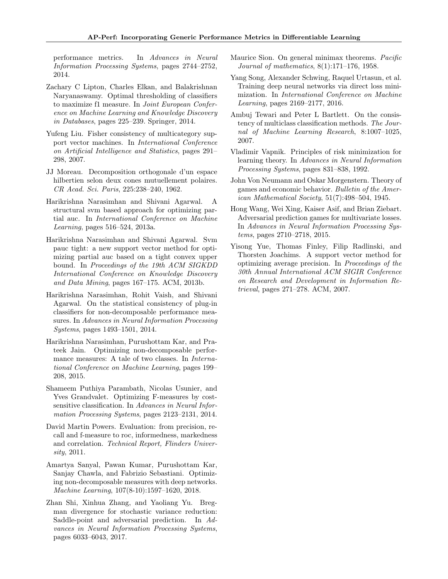performance metrics. In Advances in Neural Information Processing Systems, pages 2744–2752, 2014.

- <span id="page-9-2"></span>Zachary C Lipton, Charles Elkan, and Balakrishnan Naryanaswamy. Optimal thresholding of classifiers to maximize f1 measure. In Joint European Conference on Machine Learning and Knowledge Discovery in Databases, pages 225–239. Springer, 2014.
- <span id="page-9-12"></span>Yufeng Liu. Fisher consistency of multicategory support vector machines. In International Conference on Artificial Intelligence and Statistics, pages 291– 298, 2007.
- <span id="page-9-17"></span>JJ Moreau. Decomposition orthogonale d'un espace hilbertien selon deux cones mutuellement polaires. CR Acad. Sci. Paris, 225:238–240, 1962.
- <span id="page-9-7"></span>Harikrishna Narasimhan and Shivani Agarwal. A structural svm based approach for optimizing partial auc. In International Conference on Machine Learning, pages 516–524, 2013a.
- <span id="page-9-8"></span>Harikrishna Narasimhan and Shivani Agarwal. Svm pauc tight: a new support vector method for optimizing partial auc based on a tight convex upper bound. In Proceedings of the 19th ACM SIGKDD International Conference on Knowledge Discovery and Data Mining, pages 167–175. ACM, 2013b.
- <span id="page-9-0"></span>Harikrishna Narasimhan, Rohit Vaish, and Shivani Agarwal. On the statistical consistency of plug-in classifiers for non-decomposable performance measures. In Advances in Neural Information Processing Systems, pages 1493–1501, 2014.
- <span id="page-9-5"></span>Harikrishna Narasimhan, Purushottam Kar, and Prateek Jain. Optimizing non-decomposable performance measures: A tale of two classes. In International Conference on Machine Learning, pages 199– 208, 2015.
- <span id="page-9-1"></span>Shameem Puthiya Parambath, Nicolas Usunier, and Yves Grandvalet. Optimizing F-measures by costsensitive classification. In Advances in Neural Information Processing Systems, pages 2123–2131, 2014.
- <span id="page-9-13"></span>David Martin Powers. Evaluation: from precision, recall and f-measure to roc, informedness, markedness and correlation. Technical Report, Flinders University, 2011.
- <span id="page-9-10"></span>Amartya Sanyal, Pawan Kumar, Purushottam Kar, Sanjay Chawla, and Fabrizio Sebastiani. Optimizing non-decomposable measures with deep networks. Machine Learning, 107(8-10):1597–1620, 2018.
- <span id="page-9-4"></span>Zhan Shi, Xinhua Zhang, and Yaoliang Yu. Bregman divergence for stochastic variance reduction: Saddle-point and adversarial prediction. In Advances in Neural Information Processing Systems, pages 6033–6043, 2017.
- <span id="page-9-16"></span>Maurice Sion. On general minimax theorems. Pacific Journal of mathematics, 8(1):171–176, 1958.
- <span id="page-9-9"></span>Yang Song, Alexander Schwing, Raquel Urtasun, et al. Training deep neural networks via direct loss minimization. In International Conference on Machine Learning, pages 2169–2177, 2016.
- <span id="page-9-11"></span>Ambuj Tewari and Peter L Bartlett. On the consistency of multiclass classification methods. The Journal of Machine Learning Research, 8:1007–1025, 2007.
- <span id="page-9-14"></span>Vladimir Vapnik. Principles of risk minimization for learning theory. In Advances in Neural Information Processing Systems, pages 831–838, 1992.
- <span id="page-9-15"></span>John Von Neumann and Oskar Morgenstern. Theory of games and economic behavior. Bulletin of the American Mathematical Society, 51(7):498–504, 1945.
- <span id="page-9-3"></span>Hong Wang, Wei Xing, Kaiser Asif, and Brian Ziebart. Adversarial prediction games for multivariate losses. In Advances in Neural Information Processing Systems, pages 2710–2718, 2015.
- <span id="page-9-6"></span>Yisong Yue, Thomas Finley, Filip Radlinski, and Thorsten Joachims. A support vector method for optimizing average precision. In Proceedings of the 30th Annual International ACM SIGIR Conference on Research and Development in Information Retrieval, pages 271–278. ACM, 2007.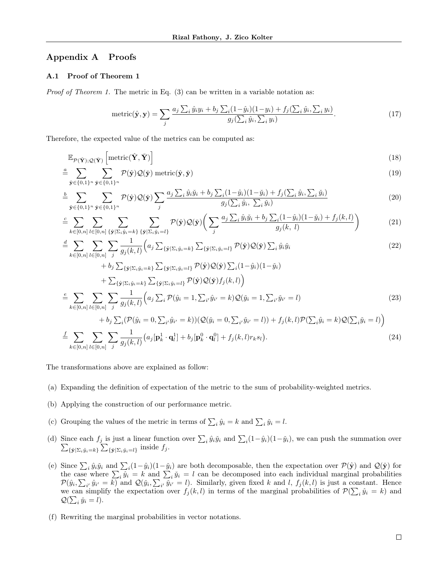# <span id="page-10-0"></span>Appendix A Proofs

# A.1 Proof of Theorem [1](#page-4-0)

*Proof of Theorem [1.](#page-4-0)* The metric in Eq.  $(3)$  can be written in a variable notation as:

$$
\text{metric}(\hat{\mathbf{y}}, \mathbf{y}) = \sum_{j} \frac{a_j \sum_{i} \hat{y}_i y_i + b_j \sum_{i} (1 - \hat{y}_i)(1 - y_i) + f_j(\sum_{i} \hat{y}_i, \sum_{i} y_i)}{g_j(\sum_{i} \hat{y}_i, \sum_{i} y_i)}.
$$
(17)

Therefore, the expected value of the metrics can be computed as:

$$
\mathbb{E}_{\mathcal{P}(\hat{\mathbf{Y}}); \mathcal{Q}(\check{\mathbf{Y}})}\left[\text{metric}(\hat{\mathbf{Y}}, \check{\mathbf{Y}})\right]
$$
(18)

$$
\stackrel{a}{=} \sum_{\hat{\mathbf{y}} \in \{0,1\}^n} \sum_{\check{\mathbf{y}} \in \{0,1\}^n} \mathcal{P}(\hat{\mathbf{y}}) \mathcal{Q}(\check{\mathbf{y}}) \text{ metric}(\hat{\mathbf{y}}, \check{\mathbf{y}}) \tag{19}
$$

$$
\frac{b}{\hat{\mathbf{y}}}\sum_{\hat{\mathbf{y}}\in\{0,1\}^n}\sum_{\check{\mathbf{y}}\in\{0,1\}^n}\mathcal{P}(\hat{\mathbf{y}})\mathcal{Q}(\check{\mathbf{y}})\sum_{j}\frac{a_j\sum_{i}\hat{y}_i\check{y}_i+b_j\sum_{i}(1-\hat{y}_i)(1-\check{y}_i)+f_j(\sum_{i}\hat{y}_i,\sum_{i}\check{y}_i)}{g_j(\sum_{i}\hat{y}_i,\sum_{i}\check{y}_i)}\tag{20}
$$

$$
\stackrel{c}{=} \sum_{k \in [0,n]} \sum_{l \in [0,n]} \sum_{\{\hat{\mathbf{y}} \mid \Sigma_i \hat{y}_i = k\}} \sum_{\{\check{\mathbf{y}} \mid \Sigma_i \check{y}_i = l\}} \mathcal{P}(\hat{\mathbf{y}}) \mathcal{Q}(\check{\mathbf{y}}) \bigg( \sum_j \frac{a_j \sum_i \hat{y}_i \check{y}_i + b_j \sum_i (1 - \hat{y}_i)(1 - \check{y}_i) + f_j(k,l)}{g_j(k,l)} \bigg) \tag{21}
$$

$$
\begin{split}\n&\stackrel{d}{=} \sum_{k\in[0,n]} \sum_{l\in[0,n]} \sum_{j} \frac{1}{g_j(k,l)} \Big( a_j \sum_{\{\hat{\mathbf{y}}|\Sigma_i\hat{y}_i=k\}} \sum_{\{\hat{\mathbf{y}}|\Sigma_i\check{y}_i=l\}} \mathcal{P}(\hat{\mathbf{y}}) \mathcal{Q}(\check{\mathbf{y}}) \sum_{i} \hat{y}_i \check{y}_i \\
&\quad + b_j \sum_{\{\hat{\mathbf{y}}|\Sigma_i\hat{y}_i=k\}} \sum_{\{\hat{\mathbf{y}}|\Sigma_i\check{y}_i=l\}} \mathcal{P}(\hat{\mathbf{y}}) \mathcal{Q}(\check{\mathbf{y}}) \sum_{i} (1-\hat{y}_i)(1-\check{y}_i) \\
&\quad + \sum_{\{\hat{\mathbf{y}}|\Sigma_i\check{y}_i=k\}} \sum_{\{\hat{\mathbf{y}}|\Sigma_i\check{y}_i=l\}} \mathcal{P}(\hat{\mathbf{y}}) \mathcal{Q}(\check{\mathbf{y}}) f_j(k,l) \Big) \\
&\stackrel{e}{=} \sum_{k\in[0,n]} \sum_{l\in[0,n]} \sum_{j} \frac{1}{g_j(k,l)} \Big( a_j \sum_{i} \mathcal{P}(\hat{y}_i=1, \sum_{i'} \hat{y}_{i'}=k) \mathcal{Q}(\check{y}_i=1, \sum_{i'} \check{y}_{i'}=l) \\
&\quad + b_j \sum_{i} (\mathcal{P}(\hat{y}_i=0, \sum_{i'} \hat{y}_{i'}=k)) (\mathcal{Q}(\check{y}_i=0, \sum_{i'} \check{y}_{i'}=l)) + f_j(k,l) \mathcal{P}(\sum_{i} \hat{y}_i=k) \mathcal{Q}(\sum_{i} \check{y}_i=l) \Big) \end{split} \tag{23}
$$

$$
\frac{f}{k}\sum_{k\in[0,n]}\sum_{l\in[0,n]}\sum_{j}\frac{1}{g_j(k,l)}\big(a_j[\mathbf{p}_k^1\cdot\mathbf{q}_l^1]+b_j[\mathbf{p}_k^0\cdot\mathbf{q}_l^0]+f_j(k,l)r_ks_l\big).
$$
\n(24)

The transformations above are explained as follow:

- (a) Expanding the definition of expectation of the metric to the sum of probability-weighted metrics.
- (b) Applying the construction of our performance metric.
- (c) Grouping the values of the metric in terms of  $\sum_i \hat{y}_i = k$  and  $\sum_i \check{y}_i = l$ .
- (d) Since each  $f_j$  is just a linear function over  $\sum_i \hat{y}_i \check{y}_i$  and  $\sum_i$ <br> $\sum_{\{ \hat{\mathbf{v}} \mid \sum_i \hat{y}_i = l \}} \sum_{\{ \hat{\mathbf{v}} \mid \sum_i \check{y}_i = l \}}$  inside  $f_j$ .  $(1-\hat{y}_i)(1-\check{y}_i)$ , we can push the summation over  $\{\hat{\mathbf{y}}|\Sigma_i\hat{y}_i=k\}\sum_{\{\check{\mathbf{y}}|\Sigma_i\check{y}_i=l\}}$  inside  $f_j$ .
- (e) Since  $\sum_i \hat{y}_i \check{y}_i$  and  $\sum_i (1-\hat{y}_i)(1-\check{y}_i)$  are both decomposable, then the expectation over  $\mathcal{P}(\hat{\mathbf{y}})$  and  $\mathcal{Q}(\check{\mathbf{y}})$  for the case where  $\sum_i \hat{y}_i = k$  and  $\sum_i \check{y}_i = l$  can be decomposed into each individual marginal probabilities  $\mathcal{P}(\hat{y}_i, \sum_{i'} \hat{y}_{i'} = k)$  and  $\mathcal{Q}(\check{y}_i, \sum_{i'} \check{y}_{i'} = l)$ . Similarly, given fixed k and l,  $f_j(k, l)$  is just a constant. Hence we can simplify the expectation over  $f_j(k, l)$  in terms of the marginal probabilities of  $\mathcal{P}(\sum_i \hat{y}_i = k)$  and  $\mathcal{Q}(\sum_i \check{y}_i = l).$
- (f) Rewriting the marginal probabilities in vector notations.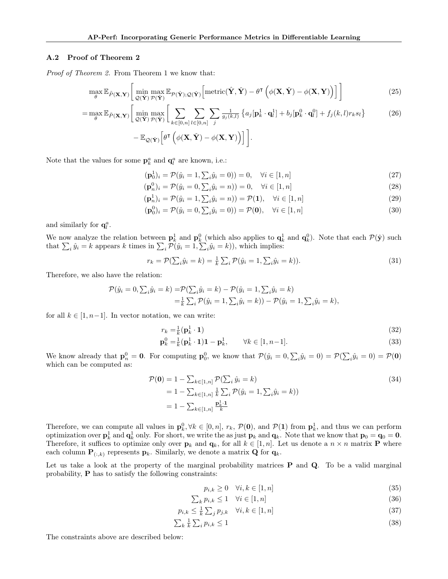#### <span id="page-11-0"></span>A.2 Proof of Theorem [2](#page-4-3)

Proof of Theorem [2.](#page-4-3) From Theorem [1](#page-4-0) we know that:

$$
\max_{\theta} \mathbb{E}_{\tilde{P}(\mathbf{X}, \mathbf{Y})} \left[ \min_{\mathcal{Q}(\tilde{\mathbf{Y}})} \max_{\mathcal{P}(\hat{\mathbf{Y}})} \mathbb{E}_{\mathcal{P}(\hat{\mathbf{Y}}); \mathcal{Q}(\tilde{\mathbf{Y}})} \left[ \text{metric}(\hat{\mathbf{Y}}, \tilde{\mathbf{Y}}) - \theta^{\mathsf{T}} \left( \phi(\mathbf{X}, \tilde{\mathbf{Y}}) - \phi(\mathbf{X}, \mathbf{Y}) \right) \right] \right]
$$
(25)

$$
= \max_{\theta} \mathbb{E}_{\tilde{P}(\mathbf{X}, \mathbf{Y})} \Big[ \min_{\mathcal{Q}(\tilde{\mathbf{Y}})} \max_{\mathcal{P}(\hat{\mathbf{Y}})} \Big[ \sum_{k \in [0, n]} \sum_{l \in [0, n]} \sum_{j} \frac{1}{g_j(k, l)} \left\{ a_j [\mathbf{p}_k^1 \cdot \mathbf{q}_l^1] + b_j [\mathbf{p}_k^0 \cdot \mathbf{q}_l^0] + f_j(k, l) r_k s_l \right\} - \mathbb{E}_{\mathcal{Q}(\tilde{\mathbf{Y}})} \Big[ \theta^{\mathsf{T}} \left( \phi(\mathbf{X}, \tilde{\mathbf{Y}}) - \phi(\mathbf{X}, \mathbf{Y}) \right) \Big] \Big]. \tag{26}
$$

Note that the values for some  $\mathbf{p}_k^a$  and  $\mathbf{q}_l^a$  are known, i.e.:

$$
(\mathbf{p}_0^1)_i = \mathcal{P}(\hat{y}_i = 1, \sum_i \hat{y}_i = 0)) = 0, \quad \forall i \in [1, n]
$$
\n(27)

 $(\mathbf{p}_n^0)_i = \mathcal{P}(\hat{y}_i = 0, \sum_i \hat{y}_i = n)) = 0, \quad \forall i \in [1, n]$ (28)

$$
(\mathbf{p}_n^1)_i = \mathcal{P}(\hat{y}_i = 1, \sum_i \hat{y}_i = n)) = \mathcal{P}(\mathbf{1}), \quad \forall i \in [1, n]
$$
\n(29)

$$
(\mathbf{p}_0^0)_i = \mathcal{P}(\hat{y}_i = 0, \sum_i \hat{y}_i = 0)) = \mathcal{P}(\mathbf{0}), \quad \forall i \in [1, n]
$$
\n(30)

and similarly for  $\mathbf{q}_l^a$ .

We now analyze the relation between  $p_k^1$  and  $p_k^0$  (which also applies to  $q_k^1$  and  $q_k^0$ ). Note that each  $\mathcal{P}(\hat{\mathbf{y}})$  such that  $\sum_i \hat{y}_i = k$  appears k times in  $\sum_i \mathcal{P}(\hat{y}_i = 1, \sum_i \hat{y}_i = k)$ , which implies:

$$
r_k = \mathcal{P}(\sum_i \hat{y}_i = k) = \frac{1}{k} \sum_i \mathcal{P}(\hat{y}_i = 1, \sum_i \hat{y}_i = k)).
$$
\n(31)

Therefore, we also have the relation:

$$
\mathcal{P}(\hat{y}_i = 0, \sum_i \hat{y}_i = k) = \mathcal{P}(\sum_i \hat{y}_i = k) - \mathcal{P}(\hat{y}_i = 1, \sum_i \hat{y}_i = k)
$$
  
=  $\frac{1}{k} \sum_i \mathcal{P}(\hat{y}_i = 1, \sum_i \hat{y}_i = k) - \mathcal{P}(\hat{y}_i = 1, \sum_i \hat{y}_i = k),$ 

for all  $k \in [1, n-1]$ . In vector notation, we can write:

$$
r_k = \frac{1}{k} (\mathbf{p}_k^1 \cdot \mathbf{1}) \tag{32}
$$

$$
\mathbf{p}_k^0 = \frac{1}{k} (\mathbf{p}_k^1 \cdot \mathbf{1}) \mathbf{1} - \mathbf{p}_k^1, \qquad \forall k \in [1, n-1]. \tag{33}
$$

We know already that  $\mathbf{p}_n^0 = \mathbf{0}$ . For computing  $\mathbf{p}_0^0$ , we know that  $\mathcal{P}(\hat{y}_i = 0, \sum_i \hat{y}_i = 0) = \mathcal{P}(\sum_i \hat{y}_i = 0) = \mathcal{P}(\mathbf{0})$ which can be computed as:

$$
\mathcal{P}(\mathbf{0}) = 1 - \sum_{k \in [1,n]} \mathcal{P}(\sum_{i} \hat{y}_{i} = k) \n= 1 - \sum_{k \in [1,n]} \frac{1}{k} \sum_{i} \mathcal{P}(\hat{y}_{i} = 1, \sum_{i} \hat{y}_{i} = k)) \n= 1 - \sum_{k \in [1,n]} \frac{p_{k}^{1} \cdot 1}{k}
$$
\n(34)

Therefore, we can compute all values in  $\mathbf{p}_k^0, \forall k \in [0, n], r_k, \mathcal{P}(\mathbf{0}),$  and  $\mathcal{P}(\mathbf{1})$  from  $\mathbf{p}_k^1$ , and thus we can perform optimization over  $p_k^1$  and  $q_k^1$  only. For short, we write the as just  $p_k$  and  $q_k$ . Note that we know that  $p_0 = q_0 = 0$ . Therefore, it suffices to optimize only over  $\mathbf{p}_k$  and  $\mathbf{q}_k$ , for all  $k \in [1, n]$ . Let us denote a  $n \times n$  matrix **P** where each column  $\mathbf{P}_{(:,k)}$  represents  $\mathbf{p}_k$ . Similarly, we denote a matrix **Q** for  $\mathbf{q}_k$ .

Let us take a look at the property of the marginal probability matrices  $P$  and  $Q$ . To be a valid marginal probability, P has to satisfy the following constraints:

$$
p_{i,k} \ge 0 \quad \forall i, k \in [1, n] \tag{35}
$$

$$
\sum_{k} p_{i,k} \le 1 \quad \forall i \in [1,n] \tag{36}
$$

$$
p_{i,k} \leq \frac{1}{k} \sum_{j} p_{j,k} \quad \forall i,k \in [1,n] \tag{37}
$$

$$
\sum_{k} \frac{1}{k} \sum_{i} p_{i,k} \le 1 \tag{38}
$$

The constraints above are described below: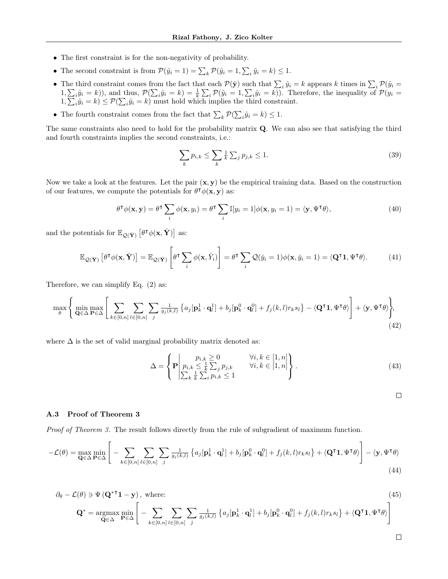- The first constraint is for the non-negativity of probability.
- The second constraint is from  $\mathcal{P}(\hat{y}_i = 1) = \sum_k \mathcal{P}(\hat{y}_i = 1, \sum_i \hat{y}_i = k) \le 1$ .
- The third constraint comes from the fact that each  $P(\hat{y})$  such that  $\sum_i \hat{y}_i = k$  appears k times in  $\sum_i P(\hat{y}_i = k)$  $(1, \sum_i \hat{y}_i = k)$ , and thus,  $\mathcal{P}(\sum_i \hat{y}_i = k) = \frac{1}{k} \sum_i \mathcal{P}(\hat{y}_i = 1, \sum_i \hat{y}_i = k)$ . Therefore, the inequality of  $\mathcal{P}(y_i = k)$  $1, \sum_i \hat{y}_i = k$   $\leq \mathcal{P}(\sum_i \hat{y}_i = k)$  must hold which implies the third constraint.
- The fourth constraint comes from the fact that  $\sum_{k} \mathcal{P}(\sum_{i} \hat{y}_{i} = k) \leq 1$ .

The same constraints also need to hold for the probability matrix Q. We can also see that satisfying the third and fourth constraints implies the second constraints, i.e.:

$$
\sum_{k} p_{i,k} \le \sum_{k} \frac{1}{k} \sum_{j} p_{j,k} \le 1. \tag{39}
$$

Now we take a look at the features. Let the pair  $(x, y)$  be the empirical training data. Based on the construction of our features, we compute the potentials for  $\theta^{\dagger} \phi(\mathbf{x}, \mathbf{y})$  as:

$$
\theta^{\mathsf{T}}\phi(\mathbf{x},\mathbf{y}) = \theta^{\mathsf{T}}\sum_{i}\phi(\mathbf{x},y_{i}) = \theta^{\mathsf{T}}\sum_{i}\mathbb{I}[y_{i}=1]\phi(\mathbf{x},y_{i}=1) = \langle \mathbf{y}, \Psi^{\mathsf{T}}\theta \rangle, \tag{40}
$$

and the potentials for  $\mathbb{E}_{\mathcal{Q}(\check{\mathbf{Y}})}\left[\theta^{\intercal}\phi(\mathbf{x},\check{\mathbf{Y}})\right]$  as:

$$
\mathbb{E}_{\mathcal{Q}(\tilde{\mathbf{Y}})}\left[\theta^{\mathsf{T}}\phi(\mathbf{x},\tilde{\mathbf{Y}})\right] = \mathbb{E}_{\mathcal{Q}(\tilde{\mathbf{Y}})}\left[\theta^{\mathsf{T}}\sum_{i}\phi(\mathbf{x},\tilde{Y}_{i})\right] = \theta^{\mathsf{T}}\sum_{i}\mathcal{Q}(\tilde{y}_{i}=1)\phi(\mathbf{x},\tilde{y}_{i}=1) = \langle\mathbf{Q}^{\mathsf{T}}\mathbf{1},\Psi^{\mathsf{T}}\theta\rangle.
$$
(41)

Therefore, we can simplify Eq. [\(2\)](#page-3-3) as:

$$
\max_{\theta} \left\{ \min_{\mathbf{Q} \in \Delta} \max_{\mathbf{P} \in \Delta} \left[ \sum_{k \in [0,n]} \sum_{l \in [0,n]} \sum_{j} \frac{1}{g_j(k,l)} \left\{ a_j [\mathbf{p}_k^1 \cdot \mathbf{q}_l^1] + b_j [\mathbf{p}_k^0 \cdot \mathbf{q}_l^0] + f_j(k,l) r_k s_l \right\} - \langle \mathbf{Q}^\mathsf{T} \mathbf{1}, \Psi^\mathsf{T} \theta \rangle \right\},\tag{42}
$$

where  $\Delta$  is the set of valid marginal probability matrix denoted as:

$$
\Delta = \left\{ \mathbf{P} \middle| \begin{array}{l l} p_{i,k} \geq 0 & \forall i, k \in [1, n] \\ p_{i,k} \leq \frac{1}{k} \sum_j p_{j,k} & \forall i, k \in [1, n] \\ \sum_k \frac{1}{k} \sum_i p_{i,k} \leq 1 \end{array} \right\} . \tag{43}
$$

$$
\Box
$$

#### A.3 Proof of Theorem [3](#page-5-8)

Proof of Theorem [3.](#page-5-8) The result follows directly from the rule of subgradient of maximum function.

$$
-\mathcal{L}(\theta) = \max_{\mathbf{Q} \in \Delta} \min_{\mathbf{P} \in \Delta} \left[ -\sum_{k \in [0,n]} \sum_{l \in [0,n]} \sum_{j} \frac{1}{g_j(k,l)} \left\{ a_j [\mathbf{p}_k^1 \cdot \mathbf{q}_l^1] + b_j [\mathbf{p}_k^0 \cdot \mathbf{q}_l^0] + f_j(k,l) r_k s_l \right\} + \langle \mathbf{Q}^\intercal \mathbf{1}, \Psi^\intercal \theta \rangle \right] - \langle \mathbf{y}, \Psi^\intercal \theta \rangle \tag{44}
$$

$$
\partial_{\theta} - \mathcal{L}(\theta) \ni \Psi (\mathbf{Q}^{*T} \mathbf{1} - \mathbf{y}), \text{ where:}
$$
\n
$$
\mathbf{Q}^{*} = \underset{\mathbf{Q} \in \Delta}{\operatorname{argmax}} \min_{\mathbf{P} \in \Delta} \left[ - \sum_{k \in [0,n]} \sum_{l \in [0,n]} \sum_{j} \frac{1}{g_{j}(k,l)} \left\{ a_{j} [\mathbf{p}_{k}^{1} \cdot \mathbf{q}_{l}^{1}] + b_{j} [\mathbf{p}_{k}^{0} \cdot \mathbf{q}_{l}^{0}] + f_{j}(k,l) r_{k} s_{l} \right\} + \langle \mathbf{Q}^{T} \mathbf{1}, \Psi^{T} \theta \rangle \right]
$$
\n(45)

 $\Box$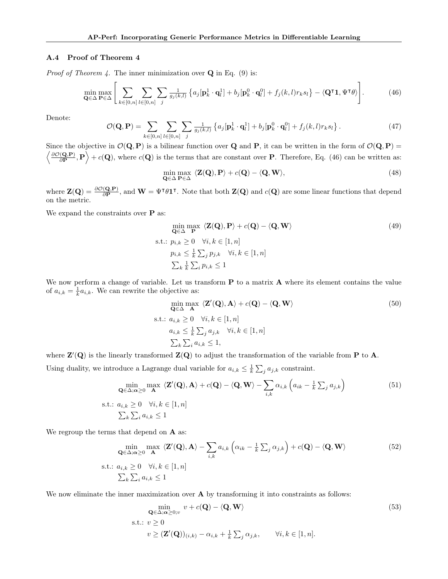#### <span id="page-13-1"></span>A.4 Proof of Theorem [4](#page-5-9)

*Proof of Theorem [4.](#page-5-9)* The inner minimization over  $Q$  in Eq. [\(9\)](#page-4-4) is:

$$
\min_{\mathbf{Q}\in\Delta}\max_{\mathbf{P}\in\Delta}\left[\sum_{k\in[0,n]}\sum_{l\in[0,n]}\sum_{j}\frac{1}{g_j(k,l)}\left\{a_j[\mathbf{p}_k^1\cdot\mathbf{q}_l^1]+b_j[\mathbf{p}_k^0\cdot\mathbf{q}_l^0]+f_j(k,l)r_ks_l\right\}-\langle\mathbf{Q}^\intercal\mathbf{1},\Psi^\intercal\theta\rangle\right].
$$
\n(46)

Denote:

$$
\mathcal{O}(\mathbf{Q}, \mathbf{P}) = \sum_{k \in [0,n]} \sum_{l \in [0,n]} \sum_{j} \frac{1}{g_j(k,l)} \left\{ a_j [\mathbf{p}_k^1 \cdot \mathbf{q}_l^1] + b_j [\mathbf{p}_k^0 \cdot \mathbf{q}_l^0] + f_j(k,l) r_k s_l \right\}.
$$
 (47)

Since the objective in  $\mathcal{O}(\mathbf{Q}, \mathbf{P})$  is a bilinear function over **Q** and **P**, it can be written in the form of  $\mathcal{O}(\mathbf{Q}, \mathbf{P})$  =  $\big/ \frac{\partial \mathcal{O}(\mathbf{Q},\mathbf{P})}{\partial \mathbf{Q}}$  $\langle \frac{(\mathbf{Q}, \mathbf{P})}{\partial \mathbf{P}}, \mathbf{P} \rangle + c(\mathbf{Q})$ , where  $c(\mathbf{Q})$  is the terms that are constant over **P**. Therefore, Eq. [\(46\)](#page-13-0) can be written as:

<span id="page-13-0"></span>
$$
\min_{\mathbf{Q}\in\Delta}\max_{\mathbf{P}\in\Delta}\ \langle\mathbf{Z}(\mathbf{Q}),\mathbf{P}\rangle+c(\mathbf{Q})-\langle\mathbf{Q},\mathbf{W}\rangle,\tag{48}
$$

where  $\mathbf{Z}(\mathbf{Q}) = \frac{\partial \mathcal{O}(\mathbf{Q}, \mathbf{P})}{\partial \mathbf{P}},$  and  $\mathbf{W} = \Psi^{\dagger} \theta \mathbf{1}^{\dagger}$ . Note that both  $\mathbf{Z}(\mathbf{Q})$  and  $c(\mathbf{Q})$  are some linear functions that depend on the metric.

We expand the constraints over  ${\bf P}$  as:

$$
\min_{\mathbf{Q} \in \Delta} \max_{\mathbf{P}} \langle \mathbf{Z}(\mathbf{Q}), \mathbf{P} \rangle + c(\mathbf{Q}) - \langle \mathbf{Q}, \mathbf{W} \rangle
$$
\n
$$
\text{s.t.: } p_{i,k} \ge 0 \quad \forall i, k \in [1, n]
$$
\n
$$
p_{i,k} \le \frac{1}{k} \sum_{j} p_{j,k} \quad \forall i, k \in [1, n]
$$
\n
$$
\sum_{k} \frac{1}{k} \sum_{i} p_{i,k} \le 1
$$
\n(49)

We now perform a change of variable. Let us transform **P** to a matrix **A** where its element contains the value of  $a_{i,k} = \frac{1}{k} a_{i,k}$ . We can rewrite the objective as:

$$
\min_{\mathbf{Q} \in \Delta} \max_{\mathbf{A}} \langle \mathbf{Z}'(\mathbf{Q}), \mathbf{A} \rangle + c(\mathbf{Q}) - \langle \mathbf{Q}, \mathbf{W} \rangle
$$
\n  
s.t.:  $a_{i,k} \ge 0 \quad \forall i, k \in [1, n]$   
\n $a_{i,k} \le \frac{1}{k} \sum_{j} a_{j,k} \quad \forall i, k \in [1, n]$   
\n $\sum_{k} \sum_{i} a_{i,k} \le 1,$  (50)

where  $\mathbf{Z}'(\mathbf{Q})$  is the linearly transformed  $\mathbf{Z}(\mathbf{Q})$  to adjust the transformation of the variable from **P** to **A**. Using duality, we introduce a Lagrange dual variable for  $a_{i,k} \leq \frac{1}{k} \sum_j a_{j,k}$  constraint.

$$
\min_{\mathbf{Q} \in \Delta; \alpha \ge 0} \max_{\mathbf{A}} \langle \mathbf{Z}'(\mathbf{Q}), \mathbf{A} \rangle + c(\mathbf{Q}) - \langle \mathbf{Q}, \mathbf{W} \rangle - \sum_{i,k} \alpha_{i,k} \left( a_{ik} - \frac{1}{k} \sum_j a_{j,k} \right)
$$
\ns.t.:  $a_{i,k} \ge 0 \quad \forall i, k \in [1, n]$   
\n $\sum_k \sum_i a_{i,k} \le 1$  (51)

We regroup the terms that depend on  $A$  as:

$$
\min_{\mathbf{Q} \in \Delta; \alpha \ge 0} \max_{\mathbf{A}} \langle \mathbf{Z}'(\mathbf{Q}), \mathbf{A} \rangle - \sum_{i,k} a_{i,k} \left( \alpha_{ik} - \frac{1}{k} \sum_{j} \alpha_{j,k} \right) + c(\mathbf{Q}) - \langle \mathbf{Q}, \mathbf{W} \rangle
$$
\ns.t.:

\n
$$
a_{i,k} \ge 0 \quad \forall i, k \in [1, n]
$$
\n
$$
\sum_{k} \sum_{i} a_{i,k} \le 1
$$
\n(52)

We now eliminate the inner maximization over  $A$  by transforming it into constraints as follows:

$$
\min_{\mathbf{Q} \in \Delta; \alpha \ge 0; v} v + c(\mathbf{Q}) - \langle \mathbf{Q}, \mathbf{W} \rangle
$$
\n
$$
\text{s.t.: } v \ge 0 \qquad \qquad v \ge (\mathbf{Z}'(\mathbf{Q}))_{(i,k)} - \alpha_{i,k} + \frac{1}{k} \sum_{j} \alpha_{j,k}, \qquad \forall i, k \in [1, n]. \tag{53}
$$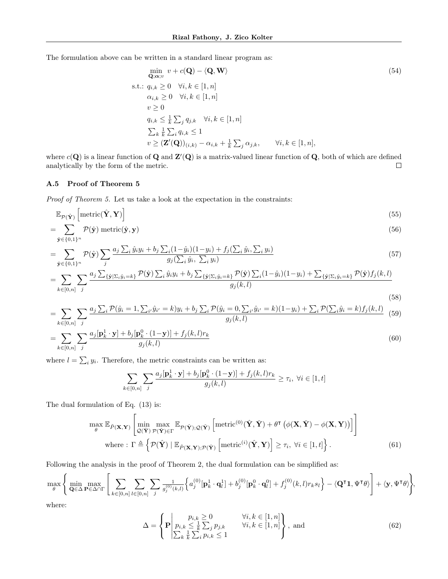The formulation above can be written in a standard linear program as:

$$
\min_{\mathbf{Q};\alpha; v} v + c(\mathbf{Q}) - \langle \mathbf{Q}, \mathbf{W} \rangle
$$
\n
$$
\text{s.t.: } q_{i,k} \ge 0 \quad \forall i, k \in [1, n]
$$
\n
$$
\alpha_{i,k} \ge 0 \quad \forall i, k \in [1, n]
$$
\n
$$
v \ge 0
$$
\n
$$
q_{i,k} \le \frac{1}{k} \sum_{j} q_{j,k} \quad \forall i, k \in [1, n]
$$
\n
$$
\sum_{k} \frac{1}{k} \sum_{i} q_{i,k} \le 1
$$
\n
$$
v \ge (\mathbf{Z}'(\mathbf{Q}))_{(i,k)} - \alpha_{i,k} + \frac{1}{k} \sum_{j} \alpha_{j,k}, \qquad \forall i, k \in [1, n],
$$
\n
$$
(54)
$$

where  $c(\mathbf{Q})$  is a linear function of  $\mathbf{Q}$  and  $\mathbf{Z}'(\mathbf{Q})$  is a matrix-valued linear function of  $\mathbf{Q}$ , both of which are defined analytically by the form of the metric.  $\Box$ 

### A.5 Proof of Theorem [5](#page-5-1)

Proof of Theorem [5.](#page-5-1) Let us take a look at the expectation in the constraints:

$$
\mathbb{E}_{\mathcal{P}(\hat{\mathbf{Y}})}\left[\text{metric}(\hat{\mathbf{Y}}, \mathbf{Y})\right]
$$
\n(55)

$$
=\sum_{\hat{\mathbf{y}}\in\{0,1\}^n}\mathcal{P}(\hat{\mathbf{y}})\,\,\mathrm{metric}(\hat{\mathbf{y}},\mathbf{y})\tag{56}
$$

$$
= \sum_{\hat{\mathbf{y}} \in \{0,1\}^n} \mathcal{P}(\hat{\mathbf{y}}) \sum_{j} \frac{a_j \sum_{i} \hat{y}_i y_i + b_j \sum_{i} (1 - \hat{y}_i)(1 - y_i) + f_j(\sum_{i} \hat{y}_i, \sum_{i} y_i)}{g_j(\sum_{i} \hat{y}_i, \sum_{i} y_i)} \tag{57}
$$

$$
= \sum_{k\in[0,n]} \sum_{j} \frac{a_j \sum_{\{\hat{\mathbf{y}}|\Sigma_i\hat{y}_i=k\}} \mathcal{P}(\hat{\mathbf{y}}) \sum_i \hat{y}_i y_i + b_j \sum_{\{\hat{\mathbf{y}}|\Sigma_i\hat{y}_i=k\}} \mathcal{P}(\hat{\mathbf{y}}) \sum_i (1-\hat{y}_i)(1-y_i) + \sum_{\{\hat{\mathbf{y}}|\Sigma_i\hat{y}_i=k\}} \mathcal{P}(\hat{\mathbf{y}}) f_j(k,l)}{g_j(k,l)}
$$
\n(58)

$$
= \sum_{k \in [0,n]} \sum_{j} \frac{a_j \sum_i \mathcal{P}(\hat{y}_i = 1, \sum_{i'} \hat{y}_{i'} = k) y_i + b_j \sum_i \mathcal{P}(\hat{y}_i = 0, \sum_{i'} \hat{y}_{i'} = k)(1 - y_i) + \sum_i \mathcal{P}(\sum_i \hat{y}_i = k) f_j(k, l)}{g_j(k, l)}
$$
(59)

$$
=\sum_{k\in[0,n]}\sum_{j}\frac{a_j[\mathbf{p}_k^1\cdot\mathbf{y}]+b_j[\mathbf{p}_k^0\cdot(1-\mathbf{y})]+f_j(k,l)r_k}{g_j(k,l)}
$$
(60)

where  $l = \sum_i y_i$ . Therefore, the metric constraints can be written as:

$$
\sum_{k\in[0,n]}\sum_{j}\frac{a_j[\mathbf{p}_k^1\cdot\mathbf{y}]+b_j[\mathbf{p}_k^0\cdot(1-\mathbf{y})]+f_j(k,l)r_k}{g_j(k,l)}\geq\tau_i, \ \forall i\in[1,t]
$$

The dual formulation of Eq. [\(13\)](#page-5-2) is:

$$
\max_{\theta} \mathbb{E}_{\tilde{P}(\mathbf{X}, \mathbf{Y})} \left[ \min_{\mathcal{Q}(\tilde{\mathbf{Y}})} \max_{\mathcal{P}(\hat{\mathbf{Y}}) \in \Gamma} \mathbb{E}_{\mathcal{P}(\hat{\mathbf{Y}}); \mathcal{Q}(\tilde{\mathbf{Y}})} \left[ \text{metric}^{(0)}(\hat{\mathbf{Y}}, \tilde{\mathbf{Y}}) + \theta^{\mathsf{T}} \left( \phi(\mathbf{X}, \tilde{\mathbf{Y}}) - \phi(\mathbf{X}, \mathbf{Y}) \right) \right] \right]
$$
\nwhere:  $\Gamma \triangleq \left\{ \mathcal{P}(\hat{\mathbf{Y}}) \mid \mathbb{E}_{\tilde{P}(\mathbf{X}, \mathbf{Y}); \mathcal{P}(\hat{\mathbf{Y}})} \left[ \text{metric}^{(i)}(\hat{\mathbf{Y}}, \mathbf{Y}) \right] \geq \tau_i, \forall i \in [1, t] \right\}.$  (61)

Following the analysis in the proof of Theorem [2,](#page-4-3) the dual formulation can be simplified as:

$$
\max_{\theta} \Bigg\{ \min_{\mathbf{Q} \in \Delta} \max_{\mathbf{P} \in \Delta \cap \Gamma} \Bigg[ \sum_{k \in [0,n]} \sum_{l \in [0,n]} \sum_{j} \frac{1}{g_j^{(0)}(k,l)} \Big\{ a_j^{(0)}[\mathbf{p}_k^1 \cdot \mathbf{q}_l^1] + b_j^{(0)}[\mathbf{p}_k^0 \cdot \mathbf{q}_l^0] + f_j^{(0)}(k,l)r_k s_l \Big\} - \langle \mathbf{Q}^\intercal \mathbf{1}, \Psi^\intercal \theta \rangle \Bigg] + \langle \mathbf{y}, \Psi^\intercal \theta \rangle \Bigg\},
$$

where:

$$
\Delta = \left\{ \mathbf{P} \middle| \begin{array}{l l} p_{i,k} \geq 0 & \forall i, k \in [1, n] \\ p_{i,k} \leq \frac{1}{k} \sum_{j} p_{j,k} & \forall i, k \in [1, n] \\ \sum_{k} \frac{1}{k} \sum_{i} p_{i,k} \leq 1 \end{array} \right\}, \text{ and} \tag{62}
$$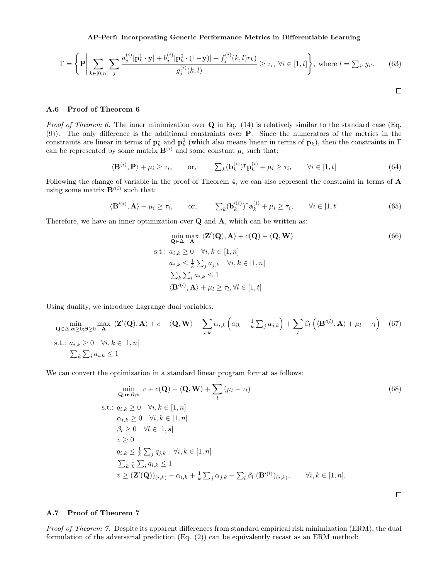$$
\Gamma = \left\{ \mathbf{P} \bigg| \sum_{k \in [0,n]} \sum_{j} \frac{a_j^{(i)} [\mathbf{p}_k^1 \cdot \mathbf{y}] + b_j^{(i)} [\mathbf{p}_k^0 \cdot (1-\mathbf{y})] + f_j^{(i)}(k,l)r_k)}{g_j^{(i)}(k,l)} \ge \tau_i, \ \forall i \in [1,t] \right\}, \text{ where } l = \sum_{i'} y_{i'}.
$$
 (63)

$$
\qquad \qquad \Box
$$

 $\Box$ 

### A.6 Proof of Theorem [6](#page-5-10)

*Proof of Theorem [6.](#page-5-10)* The inner minimization over  $Q$  in Eq. [\(14\)](#page-5-3) is relatively similar to the standard case (Eq. [\(9\)](#page-4-4)). The only difference is the additional constraints over P. Since the numerators of the metrics in the constraints are linear in terms of  $\mathbf{p}_k^1$  and  $\mathbf{p}_k^0$  (which also means linear in terms of  $\mathbf{p}_k$ ), then the constraints in  $\Gamma$ can be represented by some matrix  $\mathbf{B}^{(i)}$  and some constant  $\mu_i$  such that:

$$
\langle \mathbf{B}^{(i)}, \mathbf{P} \rangle + \mu_i \ge \tau_i, \qquad \text{or,} \qquad \sum_k (\mathbf{b}_k^{(i)})^{\mathsf{T}} \mathbf{p}_k^{(i)} + \mu_i \ge \tau_i, \qquad \forall i \in [1, t]
$$
 (64)

Following the change of variable in the proof of Theorem [4,](#page-5-9) we can also represent the constraint in terms of A using some matrix  $\mathbf{B}'^{(i)}$  such that:

$$
\langle \mathbf{B}'^{(i)}, \mathbf{A} \rangle + \mu_i \ge \tau_i, \qquad \text{or,} \qquad \sum_k (\mathbf{b}'^{(i)}_k)^{\mathsf{T}} \mathbf{a}_k^{(i)} + \mu_i \ge \tau_i, \qquad \forall i \in [1, t]
$$
 (65)

Therefore, we have an inner optimization over  $Q$  and  $A$ , which can be written as:

$$
\min_{\mathbf{Q} \in \Delta} \max_{\mathbf{A}} \langle \mathbf{Z}'(\mathbf{Q}), \mathbf{A} \rangle + c(\mathbf{Q}) - \langle \mathbf{Q}, \mathbf{W} \rangle
$$
\n  
s.t.:  $a_{i,k} \ge 0 \quad \forall i, k \in [1, n]$   
\n
$$
a_{i,k} \le \frac{1}{k} \sum_{j} a_{j,k} \quad \forall i, k \in [1, n]
$$
\n
$$
\sum_{k} \sum_{i} a_{i,k} \le 1
$$
\n
$$
\langle \mathbf{B}'^{(l)}, \mathbf{A} \rangle + \mu_l \ge \tau_l, \forall l \in [1, t]
$$
\n(66)

Using duality, we introduce Lagrange dual variables.

$$
\min_{\mathbf{Q} \in \Delta; \mathbf{a} \geq 0; \beta \geq 0} \max_{\mathbf{A}} \langle \mathbf{Z}'(\mathbf{Q}), \mathbf{A} \rangle + c - \langle \mathbf{Q}, \mathbf{W} \rangle - \sum_{i,k} \alpha_{i,k} \left( a_{ik} - \frac{1}{k} \sum_j a_{j,k} \right) + \sum_l \beta_l \left( \langle \mathbf{B}'^{(l)}, \mathbf{A} \rangle + \mu_l - \tau_l \right) \tag{67}
$$
\n  
s.t.:  $a_{i,k} \geq 0 \quad \forall i, k \in [1, n]$   
\n $\sum_k \sum_i a_{i,k} \leq 1$ 

We can convert the optimization in a standard linear program format as follows:

$$
\min_{\mathbf{Q};\alpha;\beta;v} v + c(\mathbf{Q}) - \langle \mathbf{Q}, \mathbf{W} \rangle + \sum_{l} (\mu_{l} - \tau_{l})
$$
\n
$$
\text{s.t.: } q_{i,k} \ge 0 \quad \forall i, k \in [1, n]
$$
\n
$$
\alpha_{i,k} \ge 0 \quad \forall i, k \in [1, n]
$$
\n
$$
\beta_{l} \ge 0 \quad \forall l \in [1, s]
$$
\n
$$
v \ge 0
$$
\n
$$
q_{i,k} \le \frac{1}{k} \sum_{j} q_{j,k} \quad \forall i, k \in [1, n]
$$
\n
$$
\sum_{k} \frac{1}{k} \sum_{i} q_{i,k} \le 1
$$
\n
$$
v \ge (\mathbf{Z}'(\mathbf{Q}))_{(i,k)} - \alpha_{i,k} + \frac{1}{k} \sum_{j} \alpha_{j,k} + \sum_{l} \beta_{l} (\mathbf{B}'^{(l)})_{(i,k)}, \qquad \forall i, k \in [1, n].
$$
\n(68)

### A.7 Proof of Theorem [7](#page-6-2)

Proof of Theorem [7.](#page-6-2) Despite its apparent differences from standard empirical risk minimization (ERM), the dual formulation of the adversarial prediction  $(Eq. (2))$  $(Eq. (2))$  $(Eq. (2))$  can be equivalently recast as an ERM method: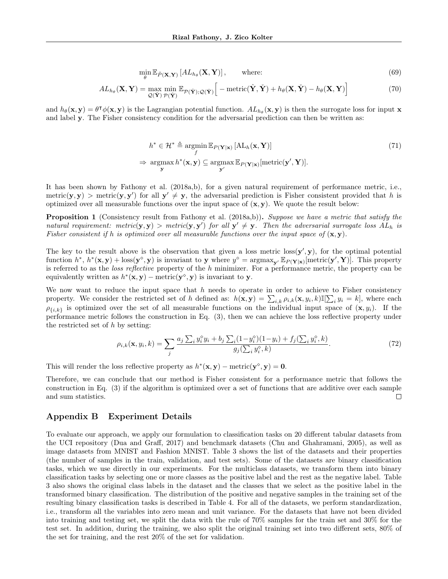$$
\min_{\theta} \mathbb{E}_{\tilde{P}(\mathbf{X}, \mathbf{Y})} \left[ AL_{h_{\theta}}(\mathbf{X}, \mathbf{Y}) \right], \qquad \text{where:} \tag{69}
$$

$$
AL_{h_{\theta}}(\mathbf{X}, \mathbf{Y}) = \max_{\mathcal{Q}(\check{\mathbf{Y}})} \min_{\mathcal{P}(\hat{\mathbf{Y}})} \mathbb{E}_{\mathcal{P}(\hat{\mathbf{Y}}); \mathcal{Q}(\check{\mathbf{Y}})} \left[ -\text{metric}(\hat{\mathbf{Y}}, \check{\mathbf{Y}}) + h_{\theta}(\mathbf{X}, \check{\mathbf{Y}}) - h_{\theta}(\mathbf{X}, \mathbf{Y}) \right]
$$
(70)

and  $h_{\theta}(\mathbf{x}, \mathbf{y}) = \theta^{\mathsf{T}} \phi(\mathbf{x}, \mathbf{y})$  is the Lagrangian potential function.  $AL_{h_{\theta}}(\mathbf{x}, \mathbf{y})$  is then the surrogate loss for input x and label y. The Fisher consistency condition for the adversarial prediction can then be written as:

$$
h^* \in \mathcal{H}^* \triangleq \underset{\mathbf{y}}{\operatorname{argmin}} \mathbb{E}_{P(\mathbf{Y}|\mathbf{x})} [\mathbf{AL}_h(\mathbf{x}, \mathbf{Y})]
$$
  
\n
$$
\Rightarrow \underset{\mathbf{y}}{\operatorname{argmax}} h^*(\mathbf{x}, \mathbf{y}) \subseteq \underset{\mathbf{y}'}{\operatorname{argmax}} \mathbb{E}_{P(\mathbf{Y}|\mathbf{x})} [\text{metric}(\mathbf{y}', \mathbf{Y})].
$$
\n(71)

It has been shown by [Fathony et al.](#page-8-10) [\(2018a,](#page-8-10)[b\)](#page-8-15), for a given natural requirement of performance metric, i.e., metric(y, y) > metric(y, y') for all  $y' \neq y$ , the adversarial prediction is Fisher consistent provided that h is optimized over all measurable functions over the input space of  $(x, y)$ . We quote the result below:

Proposition 1 (Consistency result from [Fathony et al.](#page-8-10) [\(2018a,](#page-8-10)[b\)](#page-8-15)). Suppose we have a metric that satisfy the natural requirement: metric(y,y) > metric(y,y') for all  $y' \neq y$ . Then the adversarial surrogate loss  $AL_h$  is Fisher consistent if h is optimized over all measurable functions over the input space of  $(x, y)$ .

The key to the result above is the observation that given a loss metric  $\cos(y', y)$ , for the optimal potential function  $h^*, h^*(\mathbf{x}, \mathbf{y}) + \text{loss}(\mathbf{y}^\diamond, \mathbf{y})$  is invariant to y where  $y^\diamond = \text{argmax}_{\mathbf{y}'} \mathbb{E}_{P(\mathbf{Y}|\mathbf{x})}[\text{metric}(\mathbf{y}', \mathbf{Y})]$ . This property is referred to as the loss reflective property of the h minimizer. For a performance metric, the property can be equivalently written as  $h^*(\mathbf{x}, \mathbf{y}) - \text{metric}(\mathbf{y}^{\diamond}, \mathbf{y})$  is invariant to y.

We now want to reduce the input space that  $h$  needs to operate in order to achieve to Fisher consistency property. We consider the restricted set of h defined as:  $h(\mathbf{x}, \mathbf{y}) = \sum_{i,k} \rho_{i,k}(\mathbf{x}, y_i, k) \mathbb{I}[\sum_i y_i = k]$ , where each  $\rho_{\{i,k\}}$  is optimized over the set of all measurable functions on the individual input space of  $(\mathbf{x}, y_i)$ . If the performance metric follows the construction in Eq. [\(3\)](#page-3-4), then we can achieve the loss reflective property under the restricted set of  $h$  by setting:

$$
\rho_{i,k}(\mathbf{x}, y_i, k) = \sum_j \frac{a_j \sum_i y_i^{\circ} y_i + b_j \sum_i (1 - y_i^{\circ})(1 - y_i) + f_j(\sum_i y_i^{\circ}, k)}{g_j(\sum_i y_i^{\circ}, k)}.
$$
(72)

This will render the loss reflective property as  $h^*(\mathbf{x}, \mathbf{y}) - \text{metric}(\mathbf{y}^{\diamond}, \mathbf{y}) = \mathbf{0}$ .

Therefore, we can conclude that our method is Fisher consistent for a performance metric that follows the construction in Eq. [\(3\)](#page-3-4) if the algorithm is optimized over a set of functions that are additive over each sample and sum statistics.  $\Box$ 

## <span id="page-16-0"></span>Appendix B Experiment Details

To evaluate our approach, we apply our formulation to classification tasks on 20 different tabular datasets from the UCI repository [\(Dua and Graff,](#page-8-21) [2017\)](#page-8-21) and benchmark datasets [\(Chu and Ghahramani,](#page-8-22) [2005\)](#page-8-22), as well as image datasets from MNIST and Fashion MNIST. Table [3](#page-17-1) shows the list of the datasets and their properties (the number of samples in the train, validation, and test sets). Some of the datasets are binary classification tasks, which we use directly in our experiments. For the multiclass datasets, we transform them into binary classification tasks by selecting one or more classes as the positive label and the rest as the negative label. Table [3](#page-17-1) also shows the original class labels in the dataset and the classes that we select as the positive label in the transformed binary classification. The distribution of the positive and negative samples in the training set of the resulting binary classification tasks is described in Table [4.](#page-18-0) For all of the datasets, we perform standardization, i.e., transform all the variables into zero mean and unit variance. For the datasets that have not been divided into training and testing set, we split the data with the rule of 70% samples for the train set and 30% for the test set. In addition, during the training, we also split the original training set into two different sets, 80% of the set for training, and the rest 20% of the set for validation.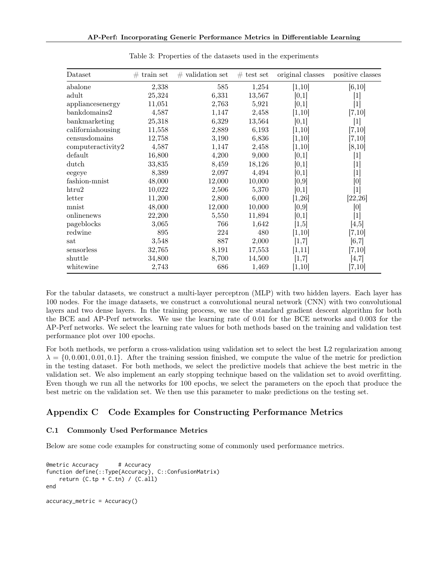<span id="page-17-1"></span>

| Dataset           | $#$ train set | $\#$ validation set | $#$ test set | original classes | positive classes                                                                                                                                                                                                                                                                        |
|-------------------|---------------|---------------------|--------------|------------------|-----------------------------------------------------------------------------------------------------------------------------------------------------------------------------------------------------------------------------------------------------------------------------------------|
| abalone           | 2,338         | 585                 | 1,254        | [1,10]           | [6, 10]                                                                                                                                                                                                                                                                                 |
| adult             | 25,324        | 6,331               | 13,567       | [0,1]            | $[1]$                                                                                                                                                                                                                                                                                   |
| appliancesenergy  | 11,051        | 2,763               | 5,921        | [0,1]            | $[1]$                                                                                                                                                                                                                                                                                   |
| bankdomains2      | 4,587         | 1,147               | 2,458        | [1,10]           | [7,10]                                                                                                                                                                                                                                                                                  |
| bankmarketing     | 25,318        | 6,329               | 13,564       | [0,1]            | $[1]$                                                                                                                                                                                                                                                                                   |
| californiahousing | 11,558        | 2,889               | 6,193        | [1,10]           | [7,10]                                                                                                                                                                                                                                                                                  |
| censusdomains     | 12,758        | 3,190               | 6,836        | [1, 10]          | [7,10]                                                                                                                                                                                                                                                                                  |
| computeractivity2 | 4,587         | 1,147               | 2,458        | [1, 10]          | [8, 10]                                                                                                                                                                                                                                                                                 |
| default           | 16,800        | 4,200               | 9,000        | [0,1]            | $\lceil 1 \rceil$                                                                                                                                                                                                                                                                       |
| dutch             | 33,835        | 8,459               | 18,126       | [0,1]            | $[1] % \includegraphics[width=0.9\columnwidth]{figures/fig_1a} \caption{The image shows the number of times, and the number of times, and the number of times, are indicated with the number of times, and the number of times, are indicated with the number of times.} \label{fig:1}$ |
| eegeye            | 8,389         | 2,097               | 4,494        | [0,1]            | $\lceil 1 \rceil$                                                                                                                                                                                                                                                                       |
| fashion-mnist     | 48,000        | 12,000              | 10,000       | [0,9]            | [0]                                                                                                                                                                                                                                                                                     |
| htru2             | 10,022        | 2,506               | 5,370        | [0,1]            | $\lceil 1 \rceil$                                                                                                                                                                                                                                                                       |
| letter            | 11,200        | 2,800               | 6,000        | [1,26]           | [22, 26]                                                                                                                                                                                                                                                                                |
| mnist             | 48,000        | 12,000              | 10,000       | [0,9]            | [0]                                                                                                                                                                                                                                                                                     |
| onlinenews        | 22,200        | 5,550               | 11,894       | [0,1]            | $[1]$                                                                                                                                                                                                                                                                                   |
| pageblocks        | 3,065         | 766                 | 1,642        | [1,5]            | [4,5]                                                                                                                                                                                                                                                                                   |
| redwine           | 895           | 224                 | 480          | [1, 10]          | [7,10]                                                                                                                                                                                                                                                                                  |
| sat               | 3,548         | 887                 | 2,000        | [1,7]            | [6,7]                                                                                                                                                                                                                                                                                   |
| sensorless        | 32,765        | 8,191               | 17,553       | [1,11]           | [7,10]                                                                                                                                                                                                                                                                                  |
| shuttle           | 34,800        | 8,700               | 14,500       | [1,7]            | [4,7]                                                                                                                                                                                                                                                                                   |
| whitewine         | 2,743         | 686                 | 1,469        | [1, 10]          | [7,10]                                                                                                                                                                                                                                                                                  |

Table 3: Properties of the datasets used in the experiments

For the tabular datasets, we construct a multi-layer perceptron (MLP) with two hidden layers. Each layer has 100 nodes. For the image datasets, we construct a convolutional neural network (CNN) with two convolutional layers and two dense layers. In the training process, we use the standard gradient descent algorithm for both the BCE and AP-Perf networks. We use the learning rate of 0.01 for the BCE networks and 0.003 for the AP-Perf networks. We select the learning rate values for both methods based on the training and validation test performance plot over 100 epochs.

For both methods, we perform a cross-validation using validation set to select the best L2 regularization among  $\lambda = \{0, 0.001, 0.01, 0.1\}$ . After the training session finished, we compute the value of the metric for prediction in the testing dataset. For both methods, we select the predictive models that achieve the best metric in the validation set. We also implement an early stopping technique based on the validation set to avoid overfitting. Even though we run all the networks for 100 epochs, we select the parameters on the epoch that produce the best metric on the validation set. We then use this parameter to make predictions on the testing set.

# <span id="page-17-0"></span>Appendix C Code Examples for Constructing Performance Metrics

## C.1 Commonly Used Performance Metrics

Below are some code examples for constructing some of commonly used performance metrics.

```
@metric Accuracy # Accuracy
function define(::Type{Accuracy}, C::ConfusionMatrix)
   return (C.tp + C.th) / (C.all)end
```

```
accuracy_metric = Accuracy()
```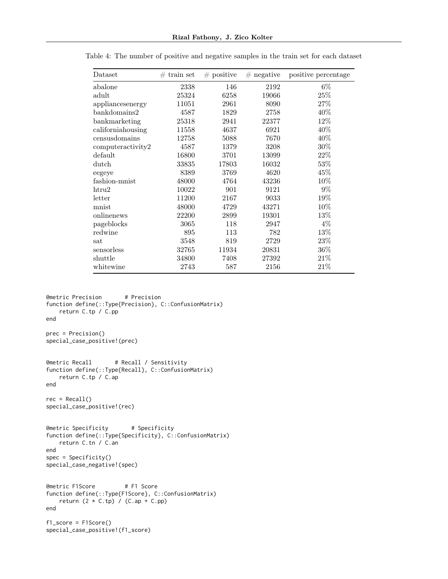| Dataset           | $#$ train set | $#$ positive | $#$ negative | positive percentage |
|-------------------|---------------|--------------|--------------|---------------------|
| abalone           | 2338          | 146          | 2192         | $6\%$               |
| $_{\rm adult}$    | 25324         | 6258         | 19066        | 25\%                |
| appliancesenergy  | 11051         | 2961         | 8090         | 27\%                |
| bank domains2     | 4587          | 1829         | 2758         | 40%                 |
| bankmarketing     | 25318         | 2941         | 22377        | 12%                 |
| californiahousing | 11558         | 4637         | 6921         | 40%                 |
| censusdomains     | 12758         | 5088         | 7670         | 40%                 |
| computeractivity2 | 4587          | 1379         | 3208         | 30%                 |
| default           | 16800         | 3701         | 13099        | $22\%$              |
| dutch             | 33835         | 17803        | 16032        | 53\%                |
| eegeye            | 8389          | 3769         | 4620         | 45%                 |
| fashion-mnist     | 48000         | 4764         | 43236        | 10%                 |
| htru2             | 10022         | 901          | 9121         | $9\%$               |
| letter            | 11200         | 2167         | 9033         | 19%                 |
| mnist             | 48000         | 4729         | 43271        | 10%                 |
| onlinenews        | 22200         | 2899         | 19301        | 13\%                |
| pageblocks        | 3065          | 118          | 2947         | $4\%$               |
| redwine           | 895           | 113          | 782          | 13%                 |
| sat               | 3548          | 819          | 2729         | 23%                 |
| sensorless        | 32765         | 11934        | 20831        | 36%                 |
| shuttle           | 34800         | 7408         | 27392        | $21\%$              |
| whitewine         | 2743          | 587          | 2156         | 21%                 |

<span id="page-18-0"></span>Table 4: The number of positive and negative samples in the train set for each dataset

```
@metric Precision # Precision
function define(::Type{Precision}, C::ConfusionMatrix)
   return C.tp / C.pp
end
prec = Precision()
special_case_positive!(prec)
@metric Recall # Recall / Sensitivity
function define(::Type{Recall}, C::ConfusionMatrix)
   return C.tp / C.ap
end
rec = Recall()special_case_positive!(rec)
@metric Specificity # Specificity
function define(::Type{Specificity}, C::ConfusionMatrix)
   return C.tn / C.an
end
spec = Specificity()special_case_negative!(spec)
@metric F1Score # F1 Score
function define(::Type{F1Score}, C::ConfusionMatrix)
   return (2 \times C.tp) / (C.ap + C.pp)end
f1_score = F1Score()
```

```
special_case_positive!(f1_score)
```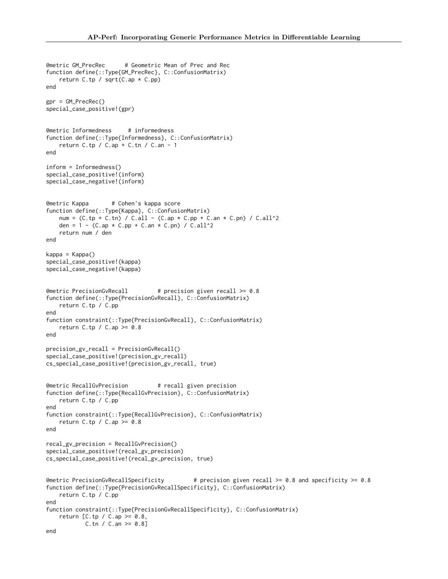```
@metric GM_PrecRec # Geometric Mean of Prec and Rec
function define(::Type{GM_PrecRec}, C::ConfusionMatrix)
    return C.tp / sqrt(C.ap * C.pp)
end
gpr = GM_PrecRec()
special_case_positive!(gpr)
@metric Informedness # informedness
function define(::Type{Informedness}, C::ConfusionMatrix)
    return C.tp / C.ap + C.tn / C.an - 1
end
inform = Informedness()
special_case_positive!(inform)
special_case_negative!(inform)
@metric Kappa # Cohen's kappa score
function define(::Type{Kappa}, C::ConfusionMatrix)
   num = (C.tp + C.th) / C.all - (C.ap * C.pp + C(an * C.pn) / C.all^2)den = 1 - (C.ap * C.pp + C.an * C.pn) / C.all^2return num / den
end
kappa = Kappa()
special_case_positive!(kappa)
special_case_negative!(kappa)
@metric PrecisionGvRecall # precision given recall >= 0.8
function define(::Type{PrecisionGvRecall}, C::ConfusionMatrix)
   return C.tp / C.pp
end
function constraint(::Type{PrecisionGvRecall}, C::ConfusionMatrix)
    return C.tp / C.ap >= 0.8end
precision_gv_recall = PrecisionGvRecall()
special_case_positive!(precision_gv_recall)
cs_special_case_positive!(precision_gv_recall, true)
@metric RecallGvPrecision # recall given precision
function define(::Type{RecallGvPrecision}, C::ConfusionMatrix)
   return C.tp / C.pp
end
function constraint(::Type{RecallGvPrecision}, C::ConfusionMatrix)
    return C.tp / C.ap > = 0.8end
recal_gv_precision = RecallGvPrecision()
special_case_positive!(recal_gv_precision)
cs_special_case_positive!(recal_gv_precision, true)
Emetric PrecisionGvRecallSpecificity \qquad # precision given recall >= 0.8 and specificity >= 0.8
function define(::Type{PrecisionGvRecallSpecificity}, C::ConfusionMatrix)
   return C.tp / C.pp
end
function constraint(::Type{PrecisionGvRecallSpecificity}, C::ConfusionMatrix)
    return [C.tp / C.ap > = 0.8,C.tn / C.an \ge 0.8end
```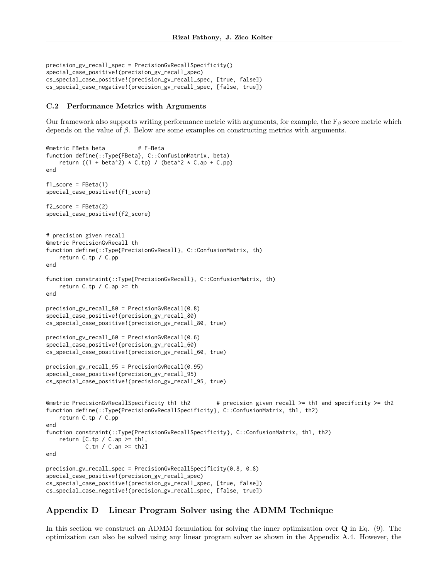```
precision_gv_recall_spec = PrecisionGvRecallSpecificity()
special_case_positive!(precision_gv_recall_spec)
cs_special_case_positive!(precision_gv_recall_spec, [true, false])
cs_special_case_negative!(precision_gv_recall_spec, [false, true])
```
#### C.2 Performance Metrics with Arguments

Our framework also supports writing performance metric with arguments, for example, the  $F_\beta$  score metric which depends on the value of  $\beta$ . Below are some examples on constructing metrics with arguments.

```
@metric FBeta beta # F-Beta
function define(::Type{FBeta}, C::ConfusionMatrix, beta)
    return ((1 + \beta)^* * C.\tp) / (\beta^* * C.\ap + C.\tp)end
f1_score = FBeta(1)special_case_positive!(f1_score)
f2_score = FBeta(2)special_case_positive!(f2_score)
# precision given recall
@metric PrecisionGvRecall th
function define(::Type{PrecisionGvRecall}, C::ConfusionMatrix, th)
    return C.tp / C.pp
end
function constraint(::Type{PrecisionGvRecall}, C::ConfusionMatrix, th)
   return C.tp / C.ap \geq thend
precision_gv_recall_80 = PrecisionGvRecall(0.8)
special_case_positive!(precision_gv_recall_80)
cs_special_case_positive!(precision_gv_recall_80, true)
precision_gv_recall_60 = PrecisionGvRecall(0.6)
special_case_positive!(precision_gv_recall_60)
cs_special_case_positive!(precision_gv_recall_60, true)
precision_gv_recall_95 = PrecisionGvRecall(0.95)
special_case_positive!(precision_gv_recall_95)
cs_special_case_positive!(precision_gv_recall_95, true)
\thetametric PrecisionGvRecallSpecificity th1 th2 \qquad # precision given recall >= th1 and specificity >= th2
function define(::Type{PrecisionGvRecallSpecificity}, C::ConfusionMatrix, th1, th2)
    return C.tp / C.pp
end
function constraint(::Type{PrecisionGvRecallSpecificity}, C::ConfusionMatrix, th1, th2)
    return [C, tp / C.ap \geq th1,
            C.tn / C.an >= th2]
end
precision_gv_recall_spec = PrecisionGvRecallSpecificity(0.8, 0.8)
special_case_positive!(precision_gv_recall_spec)
cs_special_case_positive!(precision_gv_recall_spec, [true, false])
cs_special_case_negative!(precision_gv_recall_spec, [false, true])
```
# <span id="page-20-0"></span>Appendix D Linear Program Solver using the ADMM Technique

In this section we construct an ADMM formulation for solving the inner optimization over Q in Eq. [\(9\)](#page-4-4). The optimization can also be solved using any linear program solver as shown in the Appendix [A.4.](#page-13-1) However, the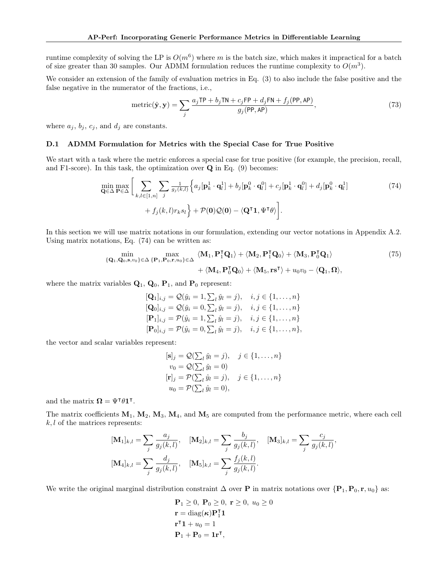runtime complexity of solving the LP is  $O(m^6)$  where m is the batch size, which makes it impractical for a batch of size greater than 30 samples. Our ADMM formulation reduces the runtime complexity to  $O(m^3)$ .

We consider an extension of the family of evaluation metrics in Eq. [\(3\)](#page-3-4) to also include the false positive and the false negative in the numerator of the fractions, i.e.,

<span id="page-21-0"></span>
$$
metric(\hat{\mathbf{y}}, \mathbf{y}) = \sum_{j} \frac{a_j \text{TP} + b_j \text{TN} + c_j \text{FP} + d_j \text{FN} + f_j(\text{PP}, \text{AP})}{g_j(\text{PP}, \text{AP})},
$$
(73)

where  $a_j, b_j, c_j$ , and  $d_j$  are constants.

#### <span id="page-21-1"></span>D.1 ADMM Formulation for Metrics with the Special Case for True Positive

We start with a task where the metric enforces a special case for true positive (for example, the precision, recall, and F1-score). In this task, the optimization over  $Q$  in Eq. [\(9\)](#page-4-4) becomes:

$$
\min_{\mathbf{Q}\in\Delta}\max_{\mathbf{P}\in\Delta}\Big[\sum_{k,l\in[1,n]}\sum_{j}\frac{1}{g_j(k,l)}\Big\{a_j[\mathbf{p}_k^1\cdot\mathbf{q}_l^1]+b_j[\mathbf{p}_k^0\cdot\mathbf{q}_l^0]+c_j[\mathbf{p}_k^1\cdot\mathbf{q}_l^0]+d_j[\mathbf{p}_k^0\cdot\mathbf{q}_l^1] +f_j(k,l)r_ks_l\Big\}+\mathcal{P}(\mathbf{0})\mathcal{Q}(\mathbf{0})-\langle\mathbf{Q}^\mathsf{T}\mathbf{1},\Psi^\mathsf{T}\theta\rangle\Big].\tag{74}
$$

In this section we will use matrix notations in our formulation, extending our vector notations in Appendix [A.2.](#page-11-0) Using matrix notations, Eq. [\(74\)](#page-21-0) can be written as:

$$
\min_{\{\mathbf{Q}_1, \mathbf{Q}_0, \mathbf{s}, v_0\} \in \Delta} \max_{\{\mathbf{P}_1, \mathbf{P}_0, \mathbf{r}, u_0\} \in \Delta} \langle \mathbf{M}_1, \mathbf{P}_1^{\mathsf{T}} \mathbf{Q}_1 \rangle + \langle \mathbf{M}_2, \mathbf{P}_1^{\mathsf{T}} \mathbf{Q}_0 \rangle + \langle \mathbf{M}_3, \mathbf{P}_0^{\mathsf{T}} \mathbf{Q}_1 \rangle + \langle \mathbf{M}_4, \mathbf{P}_0^{\mathsf{T}} \mathbf{Q}_0 \rangle + \langle \mathbf{M}_5, \mathbf{r} \mathbf{s}^{\mathsf{T}} \rangle + u_0 v_0 - \langle \mathbf{Q}_1, \mathbf{\Omega} \rangle,
$$
\n(75)

where the matrix variables  $\mathbf{Q}_1$ ,  $\mathbf{Q}_0$ ,  $\mathbf{P}_1$ , and  $\mathbf{P}_0$  represent:

$$
[\mathbf{Q}_1]_{i,j} = \mathcal{Q}(\tilde{y}_i = 1, \sum_l \tilde{y}_l = j), \quad i, j \in \{1, ..., n\} \n[\mathbf{Q}_0]_{i,j} = \mathcal{Q}(\tilde{y}_i = 0, \sum_l \tilde{y}_l = j), \quad i, j \in \{1, ..., n\} \n[\mathbf{P}_1]_{i,j} = \mathcal{P}(\hat{y}_i = 1, \sum_l \hat{y}_l = j), \quad i, j \in \{1, ..., n\} \n[\mathbf{P}_0]_{i,j} = \mathcal{P}(\hat{y}_i = 0, \sum_l \hat{y}_l = j), \quad i, j \in \{1, ..., n\},
$$

the vector and scalar variables represent:

$$
[\mathbf{s}]_j = \mathcal{Q}(\sum_l \check{y}_l = j), \quad j \in \{1, \dots, n\}
$$
  
\n
$$
v_0 = \mathcal{Q}(\sum_l \check{y}_l = 0)
$$
  
\n
$$
[\mathbf{r}]_j = \mathcal{P}(\sum_l \hat{y}_l = j), \quad j \in \{1, \dots, n\}
$$
  
\n
$$
u_0 = \mathcal{P}(\sum_l \hat{y}_l = 0),
$$

and the matrix  $\mathbf{\Omega} = \Psi^{\dagger} \theta \mathbf{1}^{\dagger}$ .

The matrix coefficients  $M_1, M_2, M_3, M_4$ , and  $M_5$  are computed from the performance metric, where each cell  $k, l$  of the matrices represents:

$$
[\mathbf{M}_{1}]_{k,l} = \sum_{j} \frac{a_{j}}{g_{j}(k,l)}, \quad [\mathbf{M}_{2}]_{k,l} = \sum_{j} \frac{b_{j}}{g_{j}(k,l)}, \quad [\mathbf{M}_{3}]_{k,l} = \sum_{j} \frac{c_{j}}{g_{j}(k,l)},
$$

$$
[\mathbf{M}_{4}]_{k,l} = \sum_{j} \frac{d_{j}}{g_{j}(k,l)}, \quad [\mathbf{M}_{5}]_{k,l} = \sum_{j} \frac{f_{j}(k,l)}{g_{j}(k,l)}.
$$

We write the original marginal distribution constraint  $\Delta$  over **P** in matrix notations over  $\{P_1, P_0, r, u_0\}$  as:

$$
\mathbf{P}_1 \ge 0, \ \mathbf{P}_0 \ge 0, \ \mathbf{r} \ge 0, \ u_0 \ge 0
$$

$$
\mathbf{r} = \text{diag}(\kappa)\mathbf{P}_1^{\mathsf{T}}\mathbf{1}
$$

$$
\mathbf{r}^{\mathsf{T}}\mathbf{1} + u_0 = 1
$$

$$
\mathbf{P}_1 + \mathbf{P}_0 = \mathbf{1}\mathbf{r}^{\mathsf{T}},
$$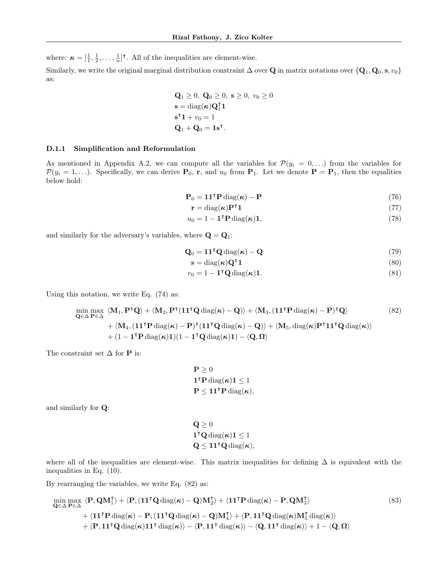where:  $\boldsymbol{\kappa} = [\frac{1}{1}, \frac{1}{2}, \dots, \frac{1}{n}]^{\mathsf{T}}$ . All of the inequalities are element-wise.

Similarly, we write the original marginal distribution constraint  $\Delta$  over Q in matrix notations over  $\{Q_1, Q_0, s, v_0\}$ as:

$$
\begin{aligned} \mathbf{Q}_1 &\geq 0, \ \mathbf{Q}_0 \geq 0, \ \mathbf{s} \geq 0, \ v_0 \geq 0 \\ \mathbf{s} &= \text{diag}(\boldsymbol{\kappa}) \mathbf{Q}_1^{\mathsf{T}} \mathbf{1} \\ \mathbf{s}^{\mathsf{T}} \mathbf{1} + v_0 &= 1 \\ \mathbf{Q}_1 + \mathbf{Q}_0 &= \mathbf{1} \mathbf{s}^{\mathsf{T}}. \end{aligned}
$$

#### D.1.1 Simplification and Reformulation

As mentioned in Appendix [A.2,](#page-11-0) we can compute all the variables for  $\mathcal{P}(y_i = 0, \ldots)$  from the variables for  $P(y_i = 1, \ldots)$ . Specifically, we can derive  $P_0$ , r, and  $u_0$  from  $P_1$ . Let we denote  $P = P_1$ , then the equalities below hold:

$$
\mathbf{P}_0 = \mathbf{1} \mathbf{1}^\mathsf{T} \mathbf{P} \operatorname{diag}(\boldsymbol{\kappa}) - \mathbf{P} \tag{76}
$$

$$
\mathbf{r} = \text{diag}(\boldsymbol{\kappa}) \mathbf{P}^{\mathsf{T}} \mathbf{1} \tag{77}
$$

$$
u_0 = 1 - \mathbf{1}^\mathsf{T} \mathbf{P} \operatorname{diag}(\boldsymbol{\kappa}) \mathbf{1},\tag{78}
$$

and similarly for the adversary's variables, where  $\mathbf{Q} = \mathbf{Q}_1$ :

$$
\mathbf{Q}_0 = \mathbf{1}\mathbf{1}^\mathsf{T}\mathbf{Q}\,\text{diag}(\boldsymbol{\kappa}) - \mathbf{Q} \tag{79}
$$

$$
\mathbf{s} = \text{diag}(\boldsymbol{\kappa})\mathbf{Q}^{\mathsf{T}}\mathbf{1} \tag{80}
$$

<span id="page-22-0"></span>
$$
v_0 = 1 - \mathbf{1}^\mathsf{T} \mathbf{Q} \operatorname{diag}(\boldsymbol{\kappa}) \mathbf{1}.\tag{81}
$$

Using this notation, we write Eq. [\(74\)](#page-21-0) as:

$$
\min_{\mathbf{Q}\in\Delta}\max_{\mathbf{P}\in\Delta} \langle \mathbf{M}_1, \mathbf{P}^{\mathsf{T}}\mathbf{Q} \rangle + \langle \mathbf{M}_2, \mathbf{P}^{\mathsf{T}}(\mathbf{1}\mathbf{1}^{\mathsf{T}}\mathbf{Q} \operatorname{diag}(\boldsymbol{\kappa}) - \mathbf{Q}) \rangle + \langle \mathbf{M}_3, (\mathbf{1}\mathbf{1}^{\mathsf{T}}\mathbf{P} \operatorname{diag}(\boldsymbol{\kappa}) - \mathbf{P})^{\mathsf{T}}\mathbf{Q} \rangle \qquad (82)
$$
\n
$$
+ \langle \mathbf{M}_4, (\mathbf{1}\mathbf{1}^{\mathsf{T}}\mathbf{P} \operatorname{diag}(\boldsymbol{\kappa}) - \mathbf{P})^{\mathsf{T}}(\mathbf{1}\mathbf{1}^{\mathsf{T}}\mathbf{Q} \operatorname{diag}(\boldsymbol{\kappa}) - \mathbf{Q}) \rangle + \langle \mathbf{M}_5, \operatorname{diag}(\boldsymbol{\kappa})\mathbf{P}^{\mathsf{T}}\mathbf{1}\mathbf{1}^{\mathsf{T}}\mathbf{Q} \operatorname{diag}(\boldsymbol{\kappa}) \rangle
$$
\n
$$
+ (1 - \mathbf{1}^{\mathsf{T}}\mathbf{P} \operatorname{diag}(\boldsymbol{\kappa})\mathbf{1})(1 - \mathbf{1}^{\mathsf{T}}\mathbf{Q} \operatorname{diag}(\boldsymbol{\kappa})\mathbf{1}) - \langle \mathbf{Q}, \mathbf{\Omega} \rangle
$$
\n(82)

The constraint set  $\Delta$  for  ${\bf P}$  is:

$$
\mathbf{P} \ge 0
$$
  

$$
\mathbf{1}^{\mathsf{T}} \mathbf{P} \operatorname{diag}(\boldsymbol{\kappa}) \mathbf{1} \le 1
$$
  

$$
\mathbf{P} \le \mathbf{1} \mathbf{1}^{\mathsf{T}} \mathbf{P} \operatorname{diag}(\boldsymbol{\kappa}),
$$

and similarly for Q:

$$
\mathbf{Q} \ge 0
$$
  
1<sup>T</sup> $\mathbf{Q}$ diag( $\kappa$ ) $1 \le 1$   
 $\mathbf{Q} \le 11$ <sup>T</sup> $\mathbf{Q}$ diag( $\kappa$ ),

where all of the inequalities are element-wise. This matrix inequalities for defining ∆ is equivalent with the inequalities in Eq. [\(10\)](#page-4-5).

By rearranging the variables, we write Eq. [\(82\)](#page-22-0) as:

$$
\min_{\mathbf{Q}\in\Delta}\max_{\mathbf{P}\in\Delta}\langle\mathbf{P},\mathbf{Q}\mathbf{M}_{1}^{\mathsf{T}}\rangle + \langle\mathbf{P},(\mathbf{11}^{\mathsf{T}}\mathbf{Q}\operatorname{diag}(\boldsymbol{\kappa})-\mathbf{Q})\mathbf{M}_{2}^{\mathsf{T}}\rangle + \langle\mathbf{11}^{\mathsf{T}}\mathbf{P}\operatorname{diag}(\boldsymbol{\kappa})-\mathbf{P},\mathbf{Q}\mathbf{M}_{3}^{\mathsf{T}}\rangle
$$
\n
$$
+\langle\mathbf{11}^{\mathsf{T}}\mathbf{P}\operatorname{diag}(\boldsymbol{\kappa})-\mathbf{P},(\mathbf{11}^{\mathsf{T}}\mathbf{Q}\operatorname{diag}(\boldsymbol{\kappa})-\mathbf{Q})\mathbf{M}_{4}^{\mathsf{T}}\rangle + \langle\mathbf{P},\mathbf{11}^{\mathsf{T}}\mathbf{Q}\operatorname{diag}(\boldsymbol{\kappa})\mathbf{M}_{5}^{\mathsf{T}}\operatorname{diag}(\boldsymbol{\kappa})\rangle
$$
\n
$$
+\langle\mathbf{P},\mathbf{11}^{\mathsf{T}}\mathbf{Q}\operatorname{diag}(\boldsymbol{\kappa})\mathbf{11}^{\mathsf{T}}\operatorname{diag}(\boldsymbol{\kappa})\rangle - \langle\mathbf{P},\mathbf{11}^{\mathsf{T}}\operatorname{diag}(\boldsymbol{\kappa})\rangle - \langle\mathbf{Q},\mathbf{11}^{\mathsf{T}}\operatorname{diag}(\boldsymbol{\kappa})\rangle + 1 - \langle\mathbf{Q},\mathbf{\Omega}\rangle
$$
\n(83)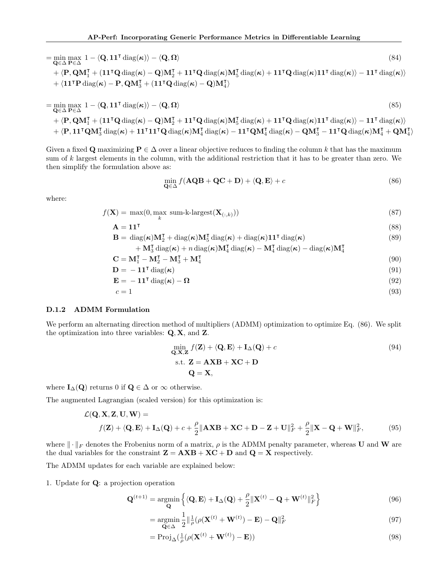$$
= \min_{\mathbf{Q} \in \Delta} \max_{\mathbf{P} \in \Delta} 1 - \langle \mathbf{Q}, \mathbf{11}^{\mathsf{T}} \operatorname{diag}(\boldsymbol{\kappa}) \rangle - \langle \mathbf{Q}, \mathbf{\Omega} \rangle
$$
\n
$$
+ \langle \mathbf{P}, \mathbf{Q} \mathbf{M}_{1}^{\mathsf{T}} + (\mathbf{11}^{\mathsf{T}} \mathbf{Q} \operatorname{diag}(\boldsymbol{\kappa}) - \mathbf{Q}) \mathbf{M}_{2}^{\mathsf{T}} + \mathbf{11}^{\mathsf{T}} \mathbf{Q} \operatorname{diag}(\boldsymbol{\kappa}) \mathbf{M}_{5}^{\mathsf{T}} \operatorname{diag}(\boldsymbol{\kappa}) + \mathbf{11}^{\mathsf{T}} \mathbf{Q} \operatorname{diag}(\boldsymbol{\kappa}) \mathbf{M}_{1}^{\mathsf{T}} \operatorname{diag}(\boldsymbol{\kappa}) + \langle \mathbf{11}^{\mathsf{T}} \mathbf{P} \operatorname{diag}(\boldsymbol{\kappa}) - \mathbf{P}, \mathbf{Q} \mathbf{M}_{3}^{\mathsf{T}} + (\mathbf{11}^{\mathsf{T}} \mathbf{Q} \operatorname{diag}(\boldsymbol{\kappa}) - \mathbf{Q}) \mathbf{M}_{4}^{\mathsf{T}} \rangle
$$
\n(84)

$$
= \min_{\mathbf{Q} \in \Delta} \max_{\mathbf{P} \in \Delta} 1 - \langle \mathbf{Q}, \mathbf{11}^{\mathsf{T}} \operatorname{diag}(\boldsymbol{\kappa}) \rangle - \langle \mathbf{Q}, \mathbf{\Omega} \rangle \tag{85}
$$
\n
$$
+ \langle \mathbf{P}, \mathbf{Q} \mathbf{M}_{1}^{\mathsf{T}} + (\mathbf{11}^{\mathsf{T}} \mathbf{Q} \operatorname{diag}(\boldsymbol{\kappa}) - \mathbf{Q}) \mathbf{M}_{2}^{\mathsf{T}} + \mathbf{11}^{\mathsf{T}} \mathbf{Q} \operatorname{diag}(\boldsymbol{\kappa}) \mathbf{M}_{5}^{\mathsf{T}} \operatorname{diag}(\boldsymbol{\kappa}) + \mathbf{11}^{\mathsf{T}} \mathbf{Q} \operatorname{diag}(\boldsymbol{\kappa}) \rangle - \mathbf{11}^{\mathsf{T}} \operatorname{diag}(\boldsymbol{\kappa}) \rangle
$$
\n
$$
+ \langle \mathbf{P}, \mathbf{11}^{\mathsf{T}} \mathbf{Q} \mathbf{M}_{3}^{\mathsf{T}} \operatorname{diag}(\boldsymbol{\kappa}) + \mathbf{11}^{\mathsf{T}} \mathbf{11}^{\mathsf{T}} \mathbf{Q} \operatorname{diag}(\boldsymbol{\kappa}) \mathbf{M}_{4}^{\mathsf{T}} \operatorname{diag}(\boldsymbol{\kappa}) - \mathbf{11}^{\mathsf{T}} \mathbf{Q} \mathbf{M}_{4}^{\mathsf{T}} \operatorname{diag}(\boldsymbol{\kappa}) - \mathbf{Q} \mathbf{M}_{3}^{\mathsf{T}} - \mathbf{11}^{\mathsf{T}} \mathbf{Q} \operatorname{diag}(\boldsymbol{\kappa}) \mathbf{M}_{4}^{\mathsf{T}} + \mathbf{Q} \mathbf{M}_{4}^{\mathsf{T}} \rangle
$$

Given a fixed Q maximizing  $P \in \Delta$  over a linear objective reduces to finding the column k that has the maximum sum of k largest elements in the column, with the additional restriction that it has to be greater than zero. We then simplify the formulation above as:

<span id="page-23-0"></span>
$$
\min_{\mathbf{Q} \in \Delta} f(\mathbf{A} \mathbf{Q} \mathbf{B} + \mathbf{Q} \mathbf{C} + \mathbf{D}) + \langle \mathbf{Q}, \mathbf{E} \rangle + c \tag{86}
$$

where:

$$
f(\mathbf{X}) = \max(0, \max_{k} \text{ sum-k-largest}(\mathbf{X}_{(:,k)}))
$$
\n(87)

$$
A = 11T
$$
 (88)

$$
\mathbf{B} = \text{diag}(\boldsymbol{\kappa})\mathbf{M}_2^{\mathsf{T}} + \text{diag}(\boldsymbol{\kappa})\mathbf{M}_5^{\mathsf{T}}\text{ diag}(\boldsymbol{\kappa}) + \text{diag}(\boldsymbol{\kappa})\mathbf{1}\mathbf{1}^{\mathsf{T}}\text{ diag}(\boldsymbol{\kappa})
$$
(89)

+ 
$$
\mathbf{M}_{3}^{T} \operatorname{diag}(\boldsymbol{\kappa}) + n \operatorname{diag}(\boldsymbol{\kappa}) \mathbf{M}_{4}^{T} \operatorname{diag}(\boldsymbol{\kappa}) - \mathbf{M}_{4}^{T} \operatorname{diag}(\boldsymbol{\kappa}) - \operatorname{diag}(\boldsymbol{\kappa}) \mathbf{M}_{4}^{T}
$$
  
\nC =  $\mathbf{M}_{3}^{T} - \mathbf{M}_{2}^{T} - \mathbf{M}_{4}^{T} + \mathbf{M}_{4}^{T}$  (90)

$$
\mathbf{C} = \mathbf{M}_1^{\mathsf{T}} - \mathbf{M}_2^{\mathsf{T}} - \mathbf{M}_3^{\mathsf{T}} + \mathbf{M}_4^{\mathsf{T}}
$$
  
\n
$$
\mathbf{D} = -\mathbf{1}\mathbf{1}^{\mathsf{T}} \operatorname{diag}(\boldsymbol{\kappa})
$$
\n(90)

$$
\mathbf{E} = -11^{\mathsf{T}} \operatorname{diag}(\boldsymbol{\kappa}) - \boldsymbol{\Omega} \tag{92}
$$

$$
c = 1 \tag{93}
$$

# D.1.2 ADMM Formulation

We perform an alternating direction method of multipliers (ADMM) optimization to optimize Eq. [\(86\)](#page-23-0). We split the optimization into three variables:  $Q, X$ , and  $Z$ .

$$
\min_{\mathbf{Q}, \mathbf{X}, \mathbf{Z}} f(\mathbf{Z}) + \langle \mathbf{Q}, \mathbf{E} \rangle + \mathbf{I}_{\Delta}(\mathbf{Q}) + c
$$
\n
$$
\text{s.t. } \mathbf{Z} = \mathbf{A} \mathbf{X} \mathbf{B} + \mathbf{X} \mathbf{C} + \mathbf{D}
$$
\n
$$
\mathbf{Q} = \mathbf{X},
$$
\n(94)

where  $I_{\Delta}(\mathbf{Q})$  returns 0 if  $\mathbf{Q} \in \Delta$  or  $\infty$  otherwise.

The augmented Lagrangian (scaled version) for this optimization is:

$$
\mathcal{L}(\mathbf{Q}, \mathbf{X}, \mathbf{Z}, \mathbf{U}, \mathbf{W}) =
$$
  

$$
f(\mathbf{Z}) + \langle \mathbf{Q}, \mathbf{E} \rangle + \mathbf{I}_{\Delta}(\mathbf{Q}) + c + \frac{\rho}{2} \|\mathbf{A}\mathbf{X}\mathbf{B} + \mathbf{X}\mathbf{C} + \mathbf{D} - \mathbf{Z} + \mathbf{U}\|_{F}^{2} + \frac{\rho}{2} \|\mathbf{X} - \mathbf{Q} + \mathbf{W}\|_{F}^{2},
$$
 (95)

where  $\|\cdot\|_F$  denotes the Frobenius norm of a matrix,  $\rho$  is the ADMM penalty parameter, whereas U and W are the dual variables for the constraint  $\mathbf{Z} = \mathbf{A} \mathbf{X} \mathbf{B} + \mathbf{X} \mathbf{C} + \mathbf{D}$  and  $\mathbf{Q} = \mathbf{X}$  respectively.

The ADMM updates for each variable are explained below:

1. Update for Q: a projection operation

$$
\mathbf{Q}^{(t+1)} = \underset{\mathbf{Q}}{\text{argmin}} \left\{ \langle \mathbf{Q}, \mathbf{E} \rangle + \mathbf{I}_{\Delta}(\mathbf{Q}) + \frac{\rho}{2} \|\mathbf{X}^{(t)} - \mathbf{Q} + \mathbf{W}^{(t)}\|_F^2 \right\}
$$
(96)

$$
= \underset{\mathbf{Q} \in \Delta}{\operatorname{argmin}} \frac{1}{2} \|\frac{1}{\rho} (\rho(\mathbf{X}^{(t)} + \mathbf{W}^{(t)}) - \mathbf{E}) - \mathbf{Q} \|^2_F
$$
\n(97)

<span id="page-23-1"></span>
$$
= \text{Proj}_{\Delta}(\frac{1}{\rho}(\rho(\mathbf{X}^{(t)} + \mathbf{W}^{(t)}) - \mathbf{E}))
$$
\n(98)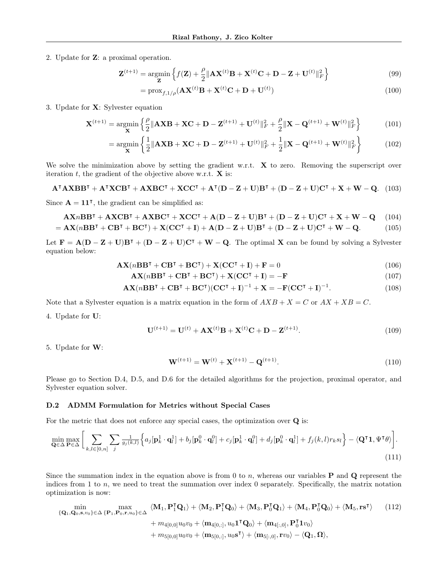2. Update for Z: a proximal operation.

$$
\mathbf{Z}^{(t+1)} = \underset{\mathbf{Z}}{\text{argmin}} \left\{ f(\mathbf{Z}) + \frac{\rho}{2} \|\mathbf{A} \mathbf{X}^{(t)} \mathbf{B} + \mathbf{X}^{(t)} \mathbf{C} + \mathbf{D} - \mathbf{Z} + \mathbf{U}^{(t)} \|_{F}^{2} \right\}
$$
(99)

<span id="page-24-0"></span>
$$
= \operatorname{prox}_{f,1/\rho}(\mathbf{A}\mathbf{X}^{(t)}\mathbf{B} + \mathbf{X}^{(t)}\mathbf{C} + \mathbf{D} + \mathbf{U}^{(t)})
$$
(100)

3. Update for X: Sylvester equation

$$
\mathbf{X}^{(t+1)} = \underset{\mathbf{X}}{\text{argmin}} \left\{ \frac{\rho}{2} \|\mathbf{A} \mathbf{X} \mathbf{B} + \mathbf{X} \mathbf{C} + \mathbf{D} - \mathbf{Z}^{(t+1)} + \mathbf{U}^{(t)}\|_{F}^{2} + \frac{\rho}{2} \|\mathbf{X} - \mathbf{Q}^{(t+1)} + \mathbf{W}^{(t)}\|_{F}^{2} \right\}
$$
(101)

$$
= \underset{\mathbf{X}}{\operatorname{argmin}} \left\{ \frac{1}{2} \| \mathbf{A} \mathbf{X} \mathbf{B} + \mathbf{X} \mathbf{C} + \mathbf{D} - \mathbf{Z}^{(t+1)} + \mathbf{U}^{(t)} \|_{F}^{2} + \frac{1}{2} \| \mathbf{X} - \mathbf{Q}^{(t+1)} + \mathbf{W}^{(t)} \|_{F}^{2} \right\}
$$
(102)

We solve the minimization above by setting the gradient w.r.t.  $\bf{X}$  to zero. Removing the superscript over iteration  $t$ , the gradient of the objective above w.r.t.  $X$  is:

 $A^{\mathsf{T}} A X B B^{\mathsf{T}} + A^{\mathsf{T}} X C B^{\mathsf{T}} + A X B C^{\mathsf{T}} + X C C^{\mathsf{T}} + A^{\mathsf{T}} (D - Z + U) B^{\mathsf{T}} + (D - Z + U) C^{\mathsf{T}} + X + W - Q.$  (103)

Since  $\mathbf{A} = \mathbf{1} \mathbf{1}^{\mathsf{T}}$ , the gradient can be simplified as:

$$
\mathbf{AX} n \mathbf{BB}^{\mathsf{T}} + \mathbf{AX} \mathbf{CB}^{\mathsf{T}} + \mathbf{AX} \mathbf{BC}^{\mathsf{T}} + \mathbf{XC} \mathbf{C}^{\mathsf{T}} + \mathbf{A} (\mathbf{D} - \mathbf{Z} + \mathbf{U}) \mathbf{B}^{\mathsf{T}} + (\mathbf{D} - \mathbf{Z} + \mathbf{U}) \mathbf{C}^{\mathsf{T}} + \mathbf{X} + \mathbf{W} - \mathbf{Q} \tag{104}
$$

$$
= \mathbf{AX}(n\mathbf{BB}^{\mathsf{T}} + \mathbf{CB}^{\mathsf{T}} + \mathbf{BC}^{\mathsf{T}}) + \mathbf{X}(\mathbf{CC}^{\mathsf{T}} + \mathbf{I}) + \mathbf{A}(\mathbf{D} - \mathbf{Z} + \mathbf{U})\mathbf{B}^{\mathsf{T}} + (\mathbf{D} - \mathbf{Z} + \mathbf{U})\mathbf{C}^{\mathsf{T}} + \mathbf{W} - \mathbf{Q}.
$$
 (105)

Let  $\mathbf{F} = \mathbf{A}(\mathbf{D} - \mathbf{Z} + \mathbf{U})\mathbf{B}^{\mathsf{T}} + (\mathbf{D} - \mathbf{Z} + \mathbf{U})\mathbf{C}^{\mathsf{T}} + \mathbf{W} - \mathbf{Q}$ . The optimal X can be found by solving a Sylvester equation below:

$$
\mathbf{AX}(n\mathbf{BB}^{\mathsf{T}} + \mathbf{CB}^{\mathsf{T}} + \mathbf{BC}^{\mathsf{T}}) + \mathbf{X}(\mathbf{CC}^{\mathsf{T}} + \mathbf{I}) + \mathbf{F} = 0 \tag{106}
$$

$$
AX(nBBT + CBT + BCT) + X(CCT + I) = -F
$$
\n(107)

$$
\mathbf{AX}(n\mathbf{BB}^{\mathsf{T}} + \mathbf{CB}^{\mathsf{T}} + \mathbf{BC}^{\mathsf{T}})(\mathbf{CC}^{\mathsf{T}} + \mathbf{I})^{-1} + \mathbf{X} = -\mathbf{F}(\mathbf{CC}^{\mathsf{T}} + \mathbf{I})^{-1}.
$$
 (108)

Note that a Sylvester equation is a matrix equation in the form of  $AXB + X = C$  or  $AX + XB = C$ .

4. Update for U:

$$
\mathbf{U}^{(t+1)} = \mathbf{U}^{(t)} + \mathbf{A}\mathbf{X}^{(t)}\mathbf{B} + \mathbf{X}^{(t)}\mathbf{C} + \mathbf{D} - \mathbf{Z}^{(t+1)}.
$$
 (109)

5. Update for W:

<span id="page-24-1"></span>
$$
\mathbf{W}^{(t+1)} = \mathbf{W}^{(t)} + \mathbf{X}^{(t+1)} - \mathbf{Q}^{(t+1)}.
$$
\n(110)

Please go to Section [D.4,](#page-26-0) [D.5,](#page-27-0) and [D.6](#page-28-0) for the detailed algorithms for the projection, proximal operator, and Sylvester equation solver.

#### D.2 ADMM Formulation for Metrics without Special Cases

For the metric that does not enforce any special cases, the optimization over Q is:

$$
\min_{\mathbf{Q}\in\Delta}\max_{\mathbf{P}\in\Delta}\Big[\sum_{k,l\in[0,n]}\sum_{j}\frac{1}{g_j(k,l)}\Big\{a_j[\mathbf{p}_k^1\cdot\mathbf{q}_l^1]+b_j[\mathbf{p}_k^0\cdot\mathbf{q}_l^0]+c_j[\mathbf{p}_k^1\cdot\mathbf{q}_l^0]+d_j[\mathbf{p}_k^0\cdot\mathbf{q}_l^1]+f_j(k,l)r_ks_l\Big\}-\langle\mathbf{Q}^\intercal\mathbf{1},\Psi^\intercal\theta\rangle\Big].\tag{111}
$$

Since the summation index in the equation above is from 0 to n, whereas our variables  $P$  and  $Q$  represent the indices from 1 to n, we need to treat the summation over index 0 separately. Specifically, the matrix notation optimization is now:

$$
\min_{\{\mathbf{Q}_1, \mathbf{Q}_0, \mathbf{s}, v_0\} \in \Delta \{\mathbf{P}_1, \mathbf{P}_0, \mathbf{r}, u_0\} \in \Delta} \langle \mathbf{M}_1, \mathbf{P}_1^{\mathsf{T}} \mathbf{Q}_1 \rangle + \langle \mathbf{M}_2, \mathbf{P}_1^{\mathsf{T}} \mathbf{Q}_0 \rangle + \langle \mathbf{M}_3, \mathbf{P}_0^{\mathsf{T}} \mathbf{Q}_1 \rangle + \langle \mathbf{M}_4, \mathbf{P}_0^{\mathsf{T}} \mathbf{Q}_0 \rangle + \langle \mathbf{M}_5, \mathbf{r} \mathbf{s}^{\mathsf{T}} \rangle \qquad (112)
$$
\n
$$
+ m_{4[0,0]} u_0 v_0 + \langle \mathbf{m}_{4[0,:]}, u_0 \mathbf{1}^{\mathsf{T}} \mathbf{Q}_0 \rangle + \langle \mathbf{m}_{4[:,0]}, \mathbf{P}_0^{\mathsf{T}} \mathbf{1} v_0 \rangle
$$
\n
$$
+ m_{5[0,0]} u_0 v_0 + \langle \mathbf{m}_{5[0,:]}, u_0 \mathbf{s}^{\mathsf{T}} \rangle + \langle \mathbf{m}_{5[:,0]}, \mathbf{r} v_0 \rangle - \langle \mathbf{Q}_1, \mathbf{\Omega} \rangle,
$$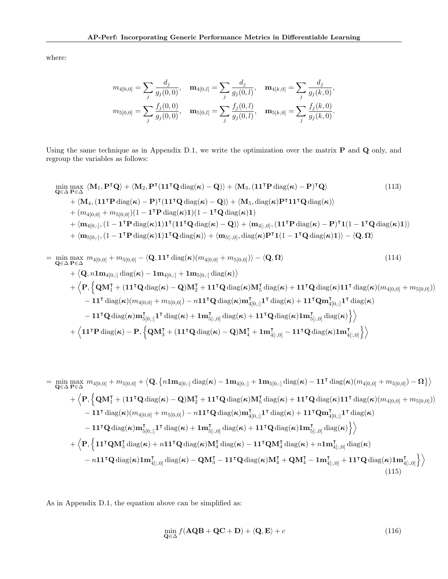where:

$$
m_{4[0,0]} = \sum_{j} \frac{d_j}{g_j(0,0)}, \quad \mathbf{m}_{4[0,l]} = \sum_{j} \frac{d_j}{g_j(0,l)}, \quad \mathbf{m}_{4[k,0]} = \sum_{j} \frac{d_j}{g_j(k,0)},
$$

$$
m_{5[0,0]} = \sum_{j} \frac{f_j(0,0)}{g_j(0,0)}, \quad \mathbf{m}_{5[0,l]} = \sum_{j} \frac{f_j(0,l)}{g_j(0,l)}, \quad \mathbf{m}_{5[k,0]} = \sum_{j} \frac{f_j(k,0)}{g_j(k,0)}.
$$

Using the same technique as in Appendix [D.1,](#page-21-1) we write the optimization over the matrix P and Q only, and regroup the variables as follows:

$$
\min_{\mathbf{Q}\in\Delta}\max_{\mathbf{P}\in\Delta} \langle \mathbf{M}_1, \mathbf{P}^{\mathsf{T}}\mathbf{Q} \rangle + \langle \mathbf{M}_2, \mathbf{P}^{\mathsf{T}}(\mathbf{1}\mathbf{1}^{\mathsf{T}}\mathbf{Q} \operatorname{diag}(\boldsymbol{\kappa}) - \mathbf{Q}) \rangle + \langle \mathbf{M}_3, (\mathbf{1}\mathbf{1}^{\mathsf{T}}\mathbf{P} \operatorname{diag}(\boldsymbol{\kappa}) - \mathbf{P})^{\mathsf{T}}\mathbf{Q} \rangle \tag{113}
$$
\n
$$
+ \langle \mathbf{M}_4, (\mathbf{1}\mathbf{1}^{\mathsf{T}}\mathbf{P} \operatorname{diag}(\boldsymbol{\kappa}) - \mathbf{P})^{\mathsf{T}}(\mathbf{1}\mathbf{1}^{\mathsf{T}}\mathbf{Q} \operatorname{diag}(\boldsymbol{\kappa}) - \mathbf{Q}) \rangle + \langle \mathbf{M}_5, \operatorname{diag}(\boldsymbol{\kappa})\mathbf{P}^{\mathsf{T}}\mathbf{1}\mathbf{1}^{\mathsf{T}}\mathbf{Q} \operatorname{diag}(\boldsymbol{\kappa}) \rangle
$$
\n
$$
+ (m_{4[0,0]} + m_{5[0,0]}) (1 - \mathbf{1}^{\mathsf{T}}\mathbf{P} \operatorname{diag}(\boldsymbol{\kappa})\mathbf{1}) (1 - \mathbf{1}^{\mathsf{T}}\mathbf{Q} \operatorname{diag}(\boldsymbol{\kappa})\mathbf{1})
$$
\n
$$
+ \langle \mathbf{m}_{4[0,:]}, (1 - \mathbf{1}^{\mathsf{T}}\mathbf{P} \operatorname{diag}(\boldsymbol{\kappa})\mathbf{1})\mathbf{1}^{\mathsf{T}}(\mathbf{1}\mathbf{1}^{\mathsf{T}}\mathbf{Q} \operatorname{diag}(\boldsymbol{\kappa}) - \mathbf{Q}) \rangle + \langle \mathbf{m}_{4[:,0]}, (\mathbf{1}\mathbf{1}^{\mathsf{T}}\mathbf{P} \operatorname{diag}(\boldsymbol{\kappa}) - \mathbf{P})^{\mathsf{T}}\mathbf{1}(1 - \mathbf{1}^{\mathsf{T}}\mathbf{Q} \operatorname{diag}(\boldsymbol{\kappa})\mathbf{1}) \rangle
$$
\n
$$
+ \langle \mathbf{m}_{5[0,:]}, (1 - \mathbf{1}^
$$

$$
= \min_{\mathbf{Q}\in\Delta} \max_{\mathbf{P}\in\Delta} m_{4[0,0]} + m_{5[0,0]} - \langle \mathbf{Q}, \mathbf{11}^{\mathsf{T}} \operatorname{diag}(\boldsymbol{\kappa}) (m_{4[0,0]} + m_{5[0,0]} ) \rangle - \langle \mathbf{Q}, \mathbf{\Omega} \rangle
$$
\n
$$
+ \langle \mathbf{Q}, n\mathbf{1} \mathbf{m}_{4[0,:]} \operatorname{diag}(\boldsymbol{\kappa}) - \mathbf{1} \mathbf{m}_{4[0,:]} + \mathbf{1} \mathbf{m}_{5[0,:]} \operatorname{diag}(\boldsymbol{\kappa}) \rangle
$$
\n
$$
+ \langle \mathbf{P}, \left\{ \mathbf{Q} \mathbf{M}_{1}^{\mathsf{T}} + (\mathbf{11}^{\mathsf{T}} \mathbf{Q} \operatorname{diag}(\boldsymbol{\kappa}) - \mathbf{Q}) \mathbf{M}_{2}^{\mathsf{T}} + \mathbf{11}^{\mathsf{T}} \mathbf{Q} \operatorname{diag}(\boldsymbol{\kappa}) \mathbf{M}_{5}^{\mathsf{T}} \operatorname{diag}(\boldsymbol{\kappa}) + \mathbf{11}^{\mathsf{T}} \mathbf{Q} \operatorname{diag}(\boldsymbol{\kappa}) (m_{4[0,0]} + m_{5[0,0]}) \rangle - \mathbf{11}^{\mathsf{T}} \operatorname{diag}(\boldsymbol{\kappa}) (m_{4[0,0]} + m_{5[0,0]}) - n \mathbf{11}^{\mathsf{T}} \mathbf{Q} \operatorname{diag}(\boldsymbol{\kappa}) \mathbf{m}_{4[0,:]}^{\mathsf{T}} \mathbf{1}^{\mathsf{T}} \operatorname{diag}(\boldsymbol{\kappa}) + \mathbf{11}^{\mathsf{T}} \mathbf{Q} m_{4[0,:]}^{\mathsf{T}} \mathbf{1}^{\mathsf{T}} \operatorname{diag}(\boldsymbol{\kappa})
$$
\n
$$
- \mathbf{11}^{\mathsf{T}} \mathbf{Q} \operatorname{diag}(\boldsymbol{\kappa}) \mathbf{m}_{5[0,:]}^{\mathsf{T}} \mathbf{1}^{\mathsf{T}} \operatorname{diag}(\boldsymbol{\kappa}) + \mathbf{1} \mathbf{m}_{5[:,0]}^{\mathsf{T}} \operatorname{diag}(\boldsymbol{\kappa}) + \mathbf{11}^{\mathsf{T}} \mathbf{Q} \operatorname{diag}(\boldsymbol
$$

$$
= \min_{\mathbf{Q}\in\Delta} \max_{\mathbf{P}\in\Delta} m_{4[0,0]} + m_{5[0,0]} + \langle \mathbf{Q}, \{n\mathbf{1m}_{4[0,:]} \operatorname{diag}(\boldsymbol{\kappa}) - \mathbf{1m}_{4[0,:]} + \mathbf{1m}_{5[0,:]} \operatorname{diag}(\boldsymbol{\kappa}) - \mathbf{11}^{\intercal} \operatorname{diag}(\boldsymbol{\kappa})(m_{4[0,0]} + m_{5[0,0]}) - \mathbf{\Omega} \} \rangle
$$
  
+  $\langle \mathbf{P}, \{ \mathbf{Q}\mathbf{M}_{1}^{\intercal} + (\mathbf{11}^{\intercal}\mathbf{Q} \operatorname{diag}(\boldsymbol{\kappa}) - \mathbf{Q})\mathbf{M}_{2}^{\intercal} + \mathbf{11}^{\intercal}\mathbf{Q} \operatorname{diag}(\boldsymbol{\kappa})\mathbf{M}_{5}^{\intercal} \operatorname{diag}(\boldsymbol{\kappa}) + \mathbf{11}^{\intercal}\mathbf{Q} \operatorname{diag}(\boldsymbol{\kappa})\mathbf{11}^{\intercal} \operatorname{diag}(\boldsymbol{\kappa})(m_{4[0,0]} + m_{5[0,0]}) \rangle$   
-  $\mathbf{11}^{\intercal} \operatorname{diag}(\boldsymbol{\kappa})(m_{4[0,0]} + m_{5[0,0]}) - n\mathbf{11}^{\intercal}\mathbf{Q} \operatorname{diag}(\boldsymbol{\kappa})\mathbf{m}_{4[0,:]}^{\intercal}\mathbf{1}^{\intercal} \operatorname{diag}(\boldsymbol{\kappa}) + \mathbf{11}^{\intercal}\mathbf{Q}\operatorname{diag}(\boldsymbol{\kappa})\mathbf{11}^{\intercal} \operatorname{diag}(\boldsymbol{\kappa}) \rangle$   
-  $\mathbf{11}^{\intercal}\mathbf{Q} \operatorname{diag}(\boldsymbol{\kappa})\mathbf{m}_{5[0,:]}^{\intercal}\mathbf{1}^{\intercal} \operatorname{diag}(\boldsymbol{\kappa}) + \mathbf{1m}_{5[:,0]}^{\intercal} \operatorname{diag}(\boldsymbol{\kappa}) + \mathbf{11}^{\intercal}\mathbf{Q} \operatorname{diag}(\boldsymbol{\kappa})\mathbf{1m}_{5[:,0]}^{\intercal} \operatorname{diag}(\boldsymbol{\kappa}) \rangle$   
+  $\langle \mathbf{P}, \{ \math$ 

As in Appendix [D.1,](#page-21-1) the equation above can be simplified as:

$$
\min_{\mathbf{Q} \in \Delta} f(\mathbf{A} \mathbf{Q} \mathbf{B} + \mathbf{Q} \mathbf{C} + \mathbf{D}) + \langle \mathbf{Q}, \mathbf{E} \rangle + c \tag{116}
$$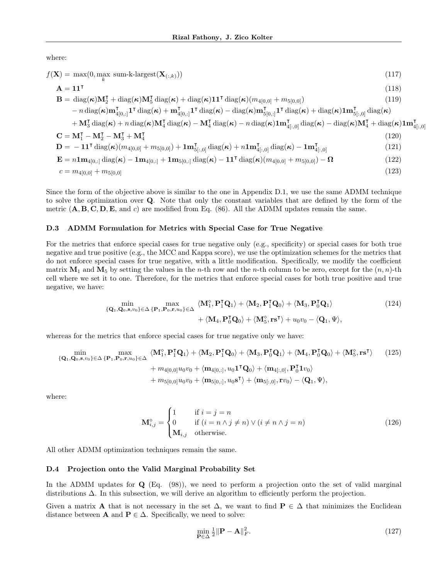where:

$$
f(\mathbf{X}) = \max(0, \max_{k} \text{ sum-k-largest}(\mathbf{X}_{(:,k)}))
$$
\n(117)

$$
\mathbf{A} = \mathbf{1}\mathbf{1}^{\mathsf{T}}
$$
\n
$$
\mathbf{B} = \text{diag}(\boldsymbol{\kappa})\mathbf{M}_{2}^{\mathsf{T}} + \text{diag}(\boldsymbol{\kappa})\mathbf{M}_{5}^{\mathsf{T}}\text{ diag}(\boldsymbol{\kappa}) + \text{diag}(\boldsymbol{\kappa})\mathbf{1}\mathbf{1}^{\mathsf{T}}\text{ diag}(\boldsymbol{\kappa})\left(m_{4[0,0]} + m_{5[0,0]}\right) \qquad (118)
$$
\n
$$
- n \text{ diag}(\boldsymbol{\kappa})\mathbf{m}_{4[0,:]}^{\mathsf{T}}\mathbf{1}^{\mathsf{T}}\text{ diag}(\boldsymbol{\kappa}) + \mathbf{m}_{4[0,:]}^{\mathsf{T}}\mathbf{1}^{\mathsf{T}}\text{ diag}(\boldsymbol{\kappa}) - \text{diag}(\boldsymbol{\kappa})\mathbf{m}_{5[0,:]}^{\mathsf{T}}\mathbf{1}^{\mathsf{T}}\text{ diag}(\boldsymbol{\kappa}) + \text{diag}(\boldsymbol{\kappa})\mathbf{1}\mathbf{m}_{5[,:,0]}^{\mathsf{T}}\text{ diag}(\boldsymbol{\kappa})
$$
\n
$$
+ \mathbf{M}_{3}^{\mathsf{T}}\text{ diag}(\boldsymbol{\kappa}) + n \text{ diag}(\boldsymbol{\kappa})\mathbf{M}_{4}^{\mathsf{T}}\text{ diag}(\boldsymbol{\kappa}) - \mathbf{M}_{4}^{\mathsf{T}}\text{ diag}(\boldsymbol{\kappa}) - n \text{ diag}(\boldsymbol{\kappa})\mathbf{1}\mathbf{m}_{4[,:,0]}^{\mathsf{T}}\text{ diag}(\boldsymbol{\kappa}) - \text{diag}(\boldsymbol{\kappa})\mathbf{M}_{4}^{\mathsf{T}} + \text{diag}(\boldsymbol{\kappa})\mathbf{1}\mathbf{m}_{4[,:,0]}^{\mathsf{T}} \qquad (120)
$$
\n
$$
\mathbf{C} = \mathbf{M}_{1}^{\mathsf{T}} - \mathbf{M}_{2}^{\mathsf{T}} - \mathbf{M}_{3}^{\mathsf{T}} + \mathbf{M}_{4}^{\mathsf{T}} \qquad (120)
$$
\n
$$
\mathbf{D} = -\mathbf{1}\mathbf{1}^{\mathsf{T}}\text{ diag}(\boldsymbol{\kappa})\left(m_{4[0,0]} + m_{5[0,0]}\right) + \math
$$

Since the form of the objective above is similar to the one in Appendix [D.1,](#page-21-1) we use the same ADMM technique to solve the optimization over Q. Note that only the constant variables that are defined by the form of the metric  $(A, B, C, D, E, \text{ and } c)$  are modified from Eq. [\(86\)](#page-23-0). All the ADMM updates remain the same.

#### D.3 ADMM Formulation for Metrics with Special Case for True Negative

For the metrics that enforce special cases for true negative only (e.g., specificity) or special cases for both true negative and true positive (e.g., the MCC and Kappa score), we use the optimization schemes for the metrics that do not enforce special cases for true negative, with a little modification. Specifically, we modify the coefficient matrix  $M_1$  and  $M_5$  by setting the values in the n-th row and the n-th column to be zero, except for the  $(n, n)$ -th cell where we set it to one. Therefore, for the metrics that enforce special cases for both true positive and true negative, we have:

$$
\min_{\{\mathbf{Q}_1, \mathbf{Q}_0, \mathbf{s}, v_0\} \in \Delta} \max_{\{\mathbf{P}_1, \mathbf{P}_0, \mathbf{r}, u_0\} \in \Delta} \langle \mathbf{M}_1^{\diamond}, \mathbf{P}_1^{\mathsf{T}} \mathbf{Q}_1 \rangle + \langle \mathbf{M}_2, \mathbf{P}_1^{\mathsf{T}} \mathbf{Q}_0 \rangle + \langle \mathbf{M}_3, \mathbf{P}_0^{\mathsf{T}} \mathbf{Q}_1 \rangle + \langle \mathbf{M}_4, \mathbf{P}_0^{\mathsf{T}} \mathbf{Q}_0 \rangle + \langle \mathbf{M}_5^{\diamond}, \mathbf{r} \mathbf{s}^{\mathsf{T}} \rangle + u_0 v_0 - \langle \mathbf{Q}_1, \Psi \rangle, \tag{124}
$$

whereas for the metrics that enforce special cases for true negative only we have:

$$
\min_{\{\mathbf{Q}_1, \mathbf{Q}_0, \mathbf{s}, v_0\} \in \Delta} \max_{\{\mathbf{P}_1, \mathbf{P}_0, \mathbf{r}, u_0\} \in \Delta} \langle \mathbf{M}_1^{\diamond}, \mathbf{P}_1^{\mathsf{T}} \mathbf{Q}_1 \rangle + \langle \mathbf{M}_2, \mathbf{P}_1^{\mathsf{T}} \mathbf{Q}_0 \rangle + \langle \mathbf{M}_3, \mathbf{P}_0^{\mathsf{T}} \mathbf{Q}_1 \rangle + \langle \mathbf{M}_4, \mathbf{P}_0^{\mathsf{T}} \mathbf{Q}_0 \rangle + \langle \mathbf{M}_5^{\diamond}, \mathbf{r} \mathbf{s}^{\mathsf{T}} \rangle \qquad (125)
$$
\n
$$
+ m_{4[0,0]} u_0 v_0 + \langle \mathbf{m}_{4[0,1]}, u_0 \mathbf{1}^{\mathsf{T}} \mathbf{Q}_0 \rangle + \langle \mathbf{m}_{4[1,0]}, \mathbf{P}_0^{\mathsf{T}} \mathbf{1} v_0 \rangle
$$
\n
$$
+ m_{5[0,0]} u_0 v_0 + \langle \mathbf{m}_{5[0,1]}, u_0 \mathbf{s}^{\mathsf{T}} \rangle + \langle \mathbf{m}_{5[1,0]}, \mathbf{r} v_0 \rangle - \langle \mathbf{Q}_1, \Psi \rangle,
$$

where:

$$
\mathbf{M}_{i,j}^{\diamond} = \begin{cases} 1 & \text{if } i = j = n \\ 0 & \text{if } (i = n \land j \neq n) \lor (i \neq n \land j = n) \\ \mathbf{M}_{i,j} & \text{otherwise.} \end{cases} \tag{126}
$$

All other ADMM optimization techniques remain the same.

#### <span id="page-26-0"></span>D.4 Projection onto the Valid Marginal Probability Set

In the ADMM updates for  $Q$  (Eq. [\(98\)](#page-23-1)), we need to perform a projection onto the set of valid marginal distributions ∆. In this subsection, we will derive an algorithm to efficiently perform the projection.

Given a matrix A that is not necessary in the set  $\Delta$ , we want to find  $P \in \Delta$  that minimizes the Euclidean distance between **A** and  $P \in \Delta$ . Specifically, we need to solve:

$$
\min_{\mathbf{P}\in\Delta}\frac{1}{2}\|\mathbf{P}-\mathbf{A}\|_F^2.\tag{127}
$$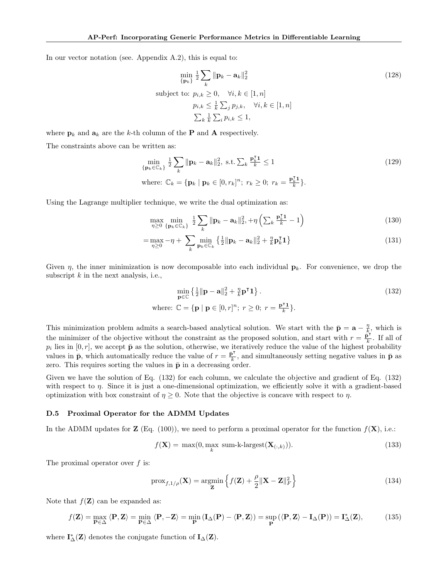In our vector notation (see. Appendix [A.2\)](#page-11-0), this is equal to:

$$
\min_{\{\mathbf{p}_k\}} \frac{1}{2} \sum_{k} \|\mathbf{p}_k - \mathbf{a}_k\|_2^2
$$
\nsubject to:

\n
$$
p_{i,k} \geq 0, \quad \forall i, k \in [1, n]
$$
\n
$$
p_{i,k} \leq \frac{1}{k} \sum_{j} p_{j,k}, \quad \forall i, k \in [1, n]
$$
\n
$$
\sum_{k} \frac{1}{k} \sum_{i} p_{i,k} \leq 1,
$$
\n(128)

where  $\mathbf{p}_k$  and  $\mathbf{a}_k$  are the k-th column of the **P** and **A** respectively.

The constraints above can be written as:

$$
\min_{\{\mathbf{p}_k \in \mathbb{C}_k\}} \frac{1}{2} \sum_k \|\mathbf{p}_k - \mathbf{a}_k\|_2^2, \text{ s.t. } \sum_k \frac{\mathbf{p}_k^{\mathbf{I}} \mathbf{1}}{k} \le 1
$$
\n
$$
\text{where: } \mathbb{C}_k = \{\mathbf{p}_k \mid \mathbf{p}_k \in [0, r_k]^n; \ r_k \ge 0; \ r_k = \frac{\mathbf{p}_k^{\mathbf{T}} \mathbf{1}}{k}\}.
$$
\n
$$
(129)
$$

Using the Lagrange multiplier technique, we write the dual optimization as:

$$
\max_{\eta \geq 0} \min_{\left\{ \mathbf{p}_k \in \mathbb{C}_k \right\}} \frac{1}{2} \sum_{k} \|\mathbf{p}_k - \mathbf{a}_k\|_2^2 + \eta \left( \sum_{k} \frac{\mathbf{p}_k^{\intercal} \mathbf{1}}{k} - 1 \right) \tag{130}
$$

$$
= \max_{\eta \geq 0} -\eta + \sum_{k} \min_{\mathbf{p}_k \in \mathbb{C}_k} \left\{ \frac{1}{2} \|\mathbf{p}_k - \mathbf{a}_k\|_2^2 + \frac{\eta}{k} \mathbf{p}_k^{\mathsf{T}} \mathbf{1} \right\}
$$
(131)

Given  $\eta$ , the inner minimization is now decomposable into each individual  $\mathbf{p}_k$ . For convenience, we drop the subscript  $k$  in the next analysis, i.e.,

<span id="page-27-1"></span>
$$
\min_{\mathbf{p}\in\mathbb{C}}\left\{\frac{1}{2}\|\mathbf{p}-\mathbf{a}\|_{2}^{2}+\frac{\eta}{k}\mathbf{p}^{\mathsf{T}}\mathbf{1}\right\}.
$$
\n(132)  
\nwhere:  $\mathbb{C}=\{\mathbf{p} \mid \mathbf{p}\in[0,r]^{n}; r\geq 0; r=\frac{\mathbf{p}^{\mathsf{T}}\mathbf{1}}{k}\}.$ 

This minimization problem admits a search-based analytical solution. We start with the  $\bar{\mathbf{p}} = \mathbf{a} - \frac{\eta}{k}$ , which is the minimizer of the objective without the constraint as the proposed solution, and start with  $r = \frac{\rho^2}{k}$  $\frac{\mathbf{b}^{\prime}}{k}$ . If all of  $p_i$  lies in [0, r], we accept  $\bar{\mathbf{p}}$  as the solution, otherwise, we iteratively reduce the value of the highest probability values in  $\bar{p}$ , which automatically reduce the value of  $r = \frac{\bar{p}^T}{k}$ , and simultaneously setting negative values in  $\bar{p}$  as zero. This requires sorting the values in  $\bar{\mathbf{p}}$  in a decreasing order.

Given we have the solution of Eq. [\(132\)](#page-27-1) for each column, we calculate the objective and gradient of Eq. [\(132\)](#page-27-1) with respect to  $\eta$ . Since it is just a one-dimensional optimization, we efficiently solve it with a gradient-based optimization with box constraint of  $\eta \geq 0$ . Note that the objective is concave with respect to  $\eta$ .

#### <span id="page-27-0"></span>D.5 Proximal Operator for the ADMM Updates

In the ADMM updates for **Z** (Eq. [\(100\)](#page-24-0)), we need to perform a proximal operator for the function  $f(\mathbf{X})$ , i.e.:

$$
f(\mathbf{X}) = \max(0, \max_{k} \text{ sum-k-largest}(\mathbf{X}_{(:,k)})).
$$
\n(133)

The proximal operator over  $f$  is:

$$
\text{prox}_{f,1/\rho}(\mathbf{X}) = \underset{\mathbf{Z}}{\text{argmin}} \left\{ f(\mathbf{Z}) + \frac{\rho}{2} \|\mathbf{X} - \mathbf{Z}\|_F^2 \right\}
$$
(134)

Note that  $f(\mathbf{Z})$  can be expanded as:

$$
f(\mathbf{Z}) = \max_{\mathbf{P} \in \Delta} \langle \mathbf{P}, \mathbf{Z} \rangle = \min_{\mathbf{P} \in \Delta} \langle \mathbf{P}, -\mathbf{Z} \rangle = \min_{\mathbf{P}} \left( \mathbf{I}_{\Delta}(\mathbf{P}) - \langle \mathbf{P}, \mathbf{Z} \rangle \right) = \sup_{\mathbf{P}} \left( \langle \mathbf{P}, \mathbf{Z} \rangle - \mathbf{I}_{\Delta}(\mathbf{P}) \right) = \mathbf{I}_{\Delta}^*(\mathbf{Z}), \tag{135}
$$

where  $I^*_{\Delta}(\mathbf{Z})$  denotes the conjugate function of  $I_{\Delta}(\mathbf{Z})$ .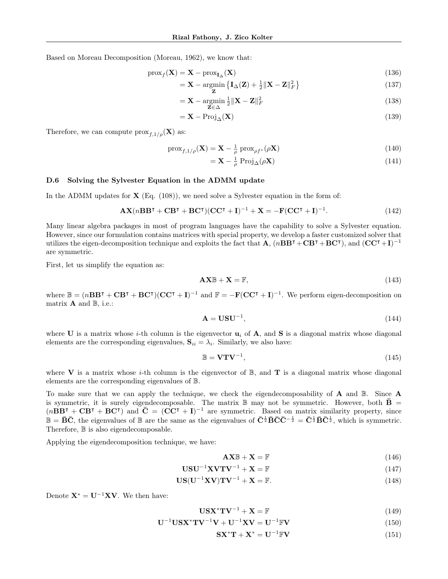Based on Moreau Decomposition [\(Moreau,](#page-9-17) [1962\)](#page-9-17), we know that:

$$
\text{prox}_f(\mathbf{X}) = \mathbf{X} - \text{prox}_{\mathbf{I}_{\Delta}}(\mathbf{X})
$$
\n(136)

$$
= \mathbf{X} - \underset{\mathbf{Z}}{\text{argmin}} \left\{ \mathbf{I}_{\Delta}(\mathbf{Z}) + \frac{1}{2} \|\mathbf{X} - \mathbf{Z}\|_{F}^{2} \right\}
$$
(137)

$$
= \mathbf{X} - \underset{\mathbf{Z} \in \Delta}{\operatorname{argmin}} \frac{1}{2} \|\mathbf{X} - \mathbf{Z}\|_F^2
$$
\n(138)

$$
= \mathbf{X} - \text{Proj}_{\Delta}(\mathbf{X}) \tag{139}
$$

Therefore, we can compute  $\text{prox}_{f,1/\rho}(\mathbf{X})$  as:

$$
\text{prox}_{f,1/\rho}(\mathbf{X}) = \mathbf{X} - \frac{1}{\rho} \text{prox}_{\rho f^*}(\rho \mathbf{X})
$$
\n(140)

$$
= \mathbf{X} - \frac{1}{\rho} \operatorname{Proj}_{\Delta}(\rho \mathbf{X})
$$
\n(141)

## <span id="page-28-0"></span>D.6 Solving the Sylvester Equation in the ADMM update

In the ADMM updates for  $\mathbf{X}$  (Eq. [\(108\)](#page-24-1)), we need solve a Sylvester equation in the form of:

$$
\mathbf{AX}(n\mathbf{BB}^{\mathsf{T}} + \mathbf{CB}^{\mathsf{T}} + \mathbf{BC}^{\mathsf{T}})(\mathbf{CC}^{\mathsf{T}} + \mathbf{I})^{-1} + \mathbf{X} = -\mathbf{F}(\mathbf{CC}^{\mathsf{T}} + \mathbf{I})^{-1}.
$$
 (142)

Many linear algebra packages in most of program languages have the capability to solve a Sylvester equation. However, since our formulation contains matrices with special property, we develop a faster customized solver that utilizes the eigen-decomposition technique and exploits the fact that  $\mathbf{A}$ ,  $(nBB^{\mathsf{T}} + CB^{\mathsf{T}} + BC^{\mathsf{T}})$ , and  $(\mathbf{C}\mathbf{C}^{\mathsf{T}} + \mathbf{I})^{-1}$ are symmetric.

First, let us simplify the equation as:

$$
\mathbf{AX}\mathbb{B} + \mathbf{X} = \mathbb{F},\tag{143}
$$

where  $\mathbb{B} = (nBB^{\mathsf{T}} + CB^{\mathsf{T}} + BC^{\mathsf{T}})(CC^{\mathsf{T}} + I)^{-1}$  and  $\mathbb{F} = -\mathbf{F}(CC^{\mathsf{T}} + I)^{-1}$ . We perform eigen-decomposition on matrix  $A$  and  $B$ , i.e.:

$$
\mathbf{A} = \mathbf{U} \mathbf{S} \mathbf{U}^{-1},\tag{144}
$$

where U is a matrix whose *i*-th column is the eigenvector  $\mathbf{u}_i$  of A, and S is a diagonal matrix whose diagonal elements are the corresponding eigenvalues,  $S_{ii} = \lambda_i$ . Similarly, we also have:

$$
\mathbb{B} = \mathbf{V}\mathbf{T}\mathbf{V}^{-1},\tag{145}
$$

where **V** is a matrix whose *i*-th column is the eigenvector of  $\mathbb{B}$ , and **T** is a diagonal matrix whose diagonal elements are the corresponding eigenvalues of B.

To make sure that we can apply the technique, we check the eigendecomposability of  $A$  and  $B$ . Since  $A$ is symmetric, it is surely eigendecomposable. The matrix  $\mathbb B$  may not be symmetric. However, both  $\bar{\mathbf{B}} =$  $(n\overline{B}B^{\intercal} + \overline{C}B^{\intercal} + \overline{B}C^{\intercal})$  and  $\overline{C} = (\overline{C}C^{\intercal} + I)^{-1}$  are symmetric. Based on matrix similarity property, since  $\mathbb{B} = \bar{\mathbf{B}}\bar{\mathbf{C}}$ , the eigenvalues of  $\mathbb{B}$  are the same as the eigenvalues of  $\bar{\mathbf{C}}^{\frac{1}{2}}\bar{\mathbf{B}}\bar{\mathbf{C}}\bar{\mathbf{C}}^{-\frac{1}{2}} = \bar{\mathbf{C}}^{\frac{1}{2}}\bar{\mathbf{B}}\bar{\mathbf{C}}^{\frac{1}{2}}$ , which is symmetric. Therefore,  $\mathbb B$  is also eigendecomposable.

Applying the eigendecomposition technique, we have:

$$
\mathbf{AX}\mathbb{B} + \mathbf{X} = \mathbb{F} \tag{146}
$$

$$
USU^{-1}XVTV^{-1} + X = \mathbb{F}
$$
\n(147)

$$
US(U^{-1}XV)TV^{-1} + X = \mathbb{F}.
$$
\n(148)

Denote  $X^* = U^{-1}XV$ . We then have:

$$
\mathbf{U}\mathbf{S}\mathbf{X}^*\mathbf{T}\mathbf{V}^{-1} + \mathbf{X} = \mathbb{F} \tag{149}
$$

$$
\mathbf{U}^{-1}\mathbf{U}\mathbf{S}\mathbf{X}^*\mathbf{T}\mathbf{V}^{-1}\mathbf{V} + \mathbf{U}^{-1}\mathbf{X}\mathbf{V} = \mathbf{U}^{-1}\mathbb{F}\mathbf{V}
$$
\n(150)

$$
\mathbf{S} \mathbf{X}^* \mathbf{T} + \mathbf{X}^* = \mathbf{U}^{-1} \mathbb{F} \mathbf{V}
$$
 (151)